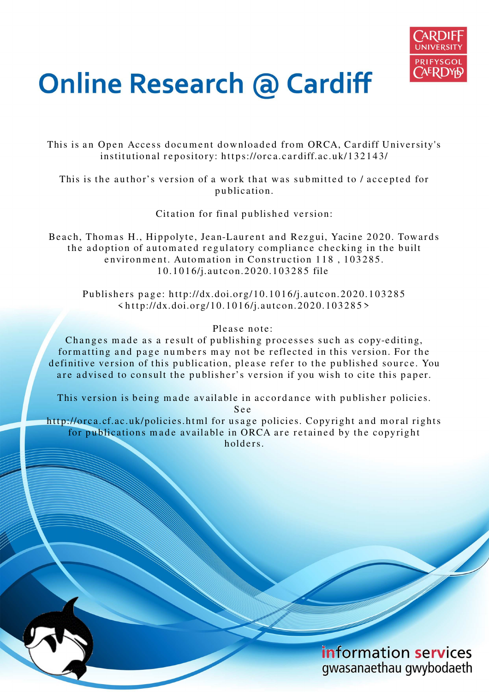

# **Online Research @ Cardiff**

This is an Open Access document downloaded from ORCA, Cardiff University's institutional repository: https://orca.cardiff.ac.uk/132143/

This is the author's version of a work that was submitted to / accepted for p u blication.

Citation for final published version:

Beach, Thomas H., Hippolyte, Jean-Laurent and Rezgui, Yacine 2020. Towards the adoption of automated regulatory compliance checking in the built environment. Automation in Construction 118, 103285. 1 0.1 0 1 6/j.autcon.20 2 0.10 3 2 8 5 file

Publishers page: http://dx.doi.org/10.1016/j.autcon.2020.103285  $\langle \text{http://dx.doi.org/10.1016/j.autcon.2020.103285>}$ 

Please note:

Changes made as a result of publishing processes such as copy-editing, formatting and page numbers may not be reflected in this version. For the definitive version of this publication, please refer to the published source. You are advised to consult the publisher's version if you wish to cite this paper.

This version is being made available in accordance with publisher policies.

S e e

http://orca.cf.ac.uk/policies.html for usage policies. Copyright and moral rights for publications made available in ORCA are retained by the copyright holders

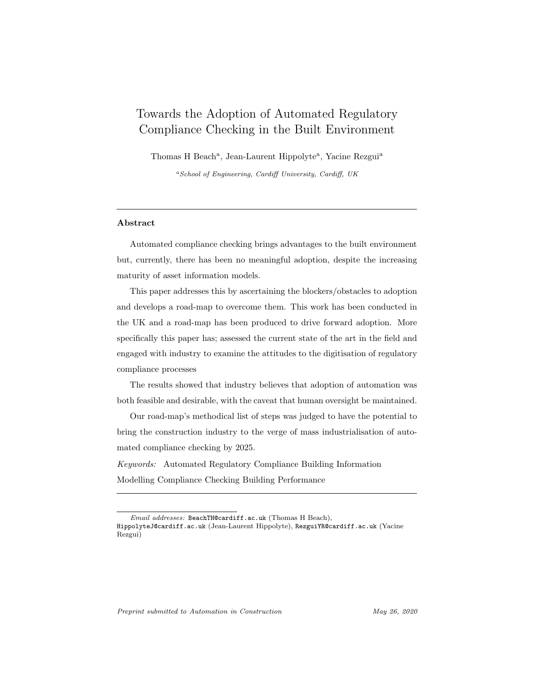# Towards the Adoption of Automated Regulatory Compliance Checking in the Built Environment

Thomas H Beach<sup>a</sup>, Jean-Laurent Hippolyte<sup>a</sup>, Yacine Rezgui<sup>a</sup>

<sup>a</sup>School of Engineering, Cardiff University, Cardiff, UK

#### Abstract

Automated compliance checking brings advantages to the built environment but, currently, there has been no meaningful adoption, despite the increasing maturity of asset information models.

This paper addresses this by ascertaining the blockers/obstacles to adoption and develops a road-map to overcome them. This work has been conducted in the UK and a road-map has been produced to drive forward adoption. More specifically this paper has; assessed the current state of the art in the field and engaged with industry to examine the attitudes to the digitisation of regulatory compliance processes

The results showed that industry believes that adoption of automation was both feasible and desirable, with the caveat that human oversight be maintained.

Our road-map's methodical list of steps was judged to have the potential to bring the construction industry to the verge of mass industrialisation of automated compliance checking by 2025.

*Keywords:* Automated Regulatory Compliance Building Information Modelling Compliance Checking Building Performance

Preprint submitted to Automation in Construction May 26, 2020

Email addresses: BeachTH@cardiff.ac.uk (Thomas H Beach), HippolyteJ@cardiff.ac.uk (Jean-Laurent Hippolyte), RezguiYR@cardiff.ac.uk (Yacine Rezgui)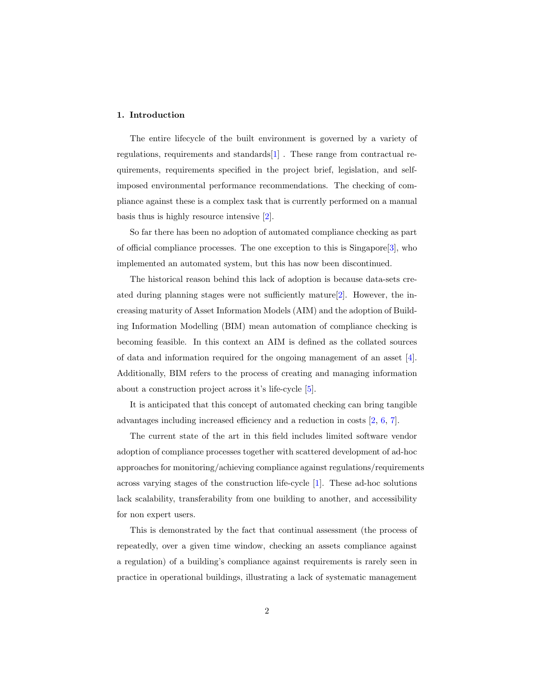#### 1. Introduction

The entire lifecycle of the built environment is governed by a variety of regulations, requirements and standards[1] . These range from contractual requirements, requirements specified in the project brief, legislation, and selfimposed environmental performance recommendations. The checking of compliance against these is a complex task that is currently performed on a manual basis thus is highly resource intensive [2].

So far there has been no adoption of automated compliance checking as part of official compliance processes. The one exception to this is Singapore  $[3]$ , who implemented an automated system, but this has now been discontinued.

The historical reason behind this lack of adoption is because data-sets created during planning stages were not sufficiently mature[2]. However, the increasing maturity of Asset Information Models (AIM) and the adoption of Building Information Modelling (BIM) mean automation of compliance checking is becoming feasible. In this context an AIM is defined as the collated sources of data and information required for the ongoing management of an asset [4]. Additionally, BIM refers to the process of creating and managing information about a construction project across it's life-cycle [5].

It is anticipated that this concept of automated checking can bring tangible advantages including increased efficiency and a reduction in costs [2, 6, 7].

The current state of the art in this field includes limited software vendor adoption of compliance processes together with scattered development of ad-hoc approaches for monitoring/achieving compliance against regulations/requirements across varying stages of the construction life-cycle [1]. These ad-hoc solutions lack scalability, transferability from one building to another, and accessibility for non expert users.

This is demonstrated by the fact that continual assessment (the process of repeatedly, over a given time window, checking an assets compliance against a regulation) of a building's compliance against requirements is rarely seen in practice in operational buildings, illustrating a lack of systematic management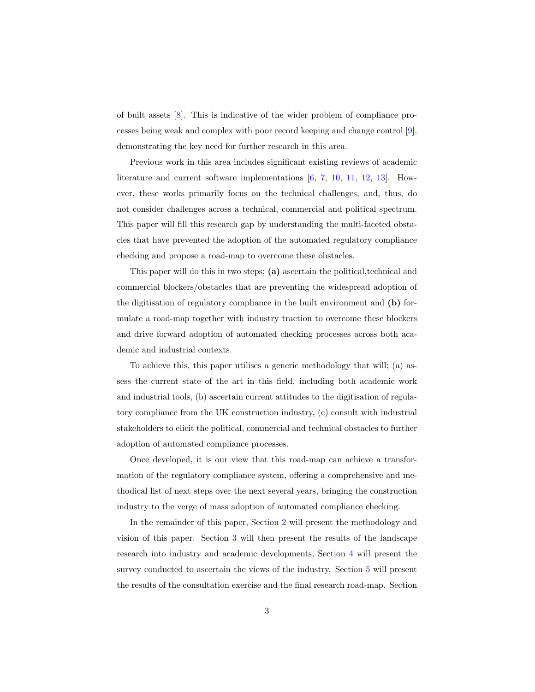of built assets [8]. This is indicative of the wider problem of compliance processes being weak and complex with poor record keeping and change control [9], demonstrating the key need for further research in this area.

Previous work in this area includes significant existing reviews of academic literature and current software implementations [6, 7, 10, 11, 12, 13]. However, these works primarily focus on the technical challenges, and, thus, do not consider challenges across a technical, commercial and political spectrum. This paper will fill this research gap by understanding the multi-faceted obstacles that have prevented the adoption of the automated regulatory compliance checking and propose a road-map to overcome these obstacles.

This paper will do this in two steps; (a) ascertain the political,technical and commercial blockers/obstacles that are preventing the widespread adoption of the digitisation of regulatory compliance in the built environment and (b) formulate a road-map together with industry traction to overcome these blockers and drive forward adoption of automated checking processes across both academic and industrial contexts.

To achieve this, this paper utilises a generic methodology that will; (a) assess the current state of the art in this field, including both academic work and industrial tools, (b) ascertain current attitudes to the digitisation of regulatory compliance from the UK construction industry, (c) consult with industrial stakeholders to elicit the political, commercial and technical obstacles to further adoption of automated compliance processes.

Once developed, it is our view that this road-map can achieve a transformation of the regulatory compliance system, offering a comprehensive and methodical list of next steps over the next several years, bringing the construction industry to the verge of mass adoption of automated compliance checking.

In the remainder of this paper, Section 2 will present the methodology and vision of this paper. Section 3 will then present the results of the landscape research into industry and academic developments, Section 4 will present the survey conducted to ascertain the views of the industry. Section 5 will present the results of the consultation exercise and the final research road-map. Section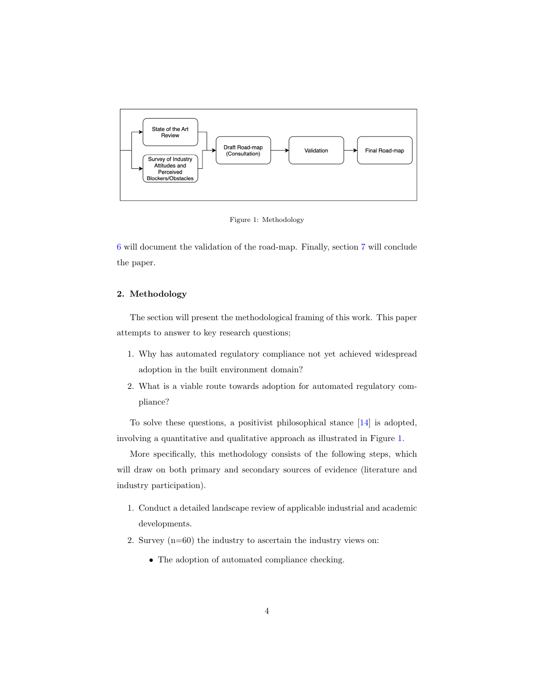

Figure 1: Methodology

6 will document the validation of the road-map. Finally, section 7 will conclude the paper.

## 2. Methodology

The section will present the methodological framing of this work. This paper attempts to answer to key research questions;

- 1. Why has automated regulatory compliance not yet achieved widespread adoption in the built environment domain?
- 2. What is a viable route towards adoption for automated regulatory compliance?

To solve these questions, a positivist philosophical stance [14] is adopted, involving a quantitative and qualitative approach as illustrated in Figure 1.

More specifically, this methodology consists of the following steps, which will draw on both primary and secondary sources of evidence (literature and industry participation).

- 1. Conduct a detailed landscape review of applicable industrial and academic developments.
- 2. Survey (n=60) the industry to ascertain the industry views on:
	- The adoption of automated compliance checking.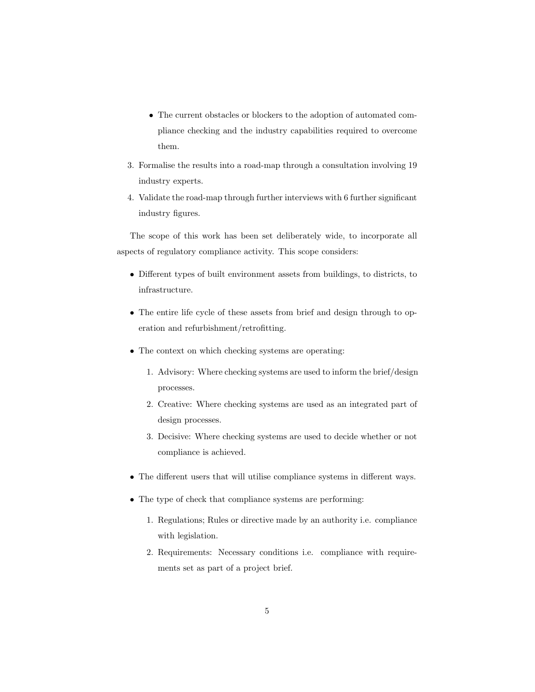- The current obstacles or blockers to the adoption of automated compliance checking and the industry capabilities required to overcome them.
- 3. Formalise the results into a road-map through a consultation involving 19 industry experts.
- 4. Validate the road-map through further interviews with 6 further significant industry figures.

The scope of this work has been set deliberately wide, to incorporate all aspects of regulatory compliance activity. This scope considers:

- Different types of built environment assets from buildings, to districts, to infrastructure.
- The entire life cycle of these assets from brief and design through to operation and refurbishment/retrofitting.
- The context on which checking systems are operating:
	- 1. Advisory: Where checking systems are used to inform the brief/design processes.
	- 2. Creative: Where checking systems are used as an integrated part of design processes.
	- 3. Decisive: Where checking systems are used to decide whether or not compliance is achieved.
- The different users that will utilise compliance systems in different ways.
- The type of check that compliance systems are performing:
	- 1. Regulations; Rules or directive made by an authority i.e. compliance with legislation.
	- 2. Requirements: Necessary conditions i.e. compliance with requirements set as part of a project brief.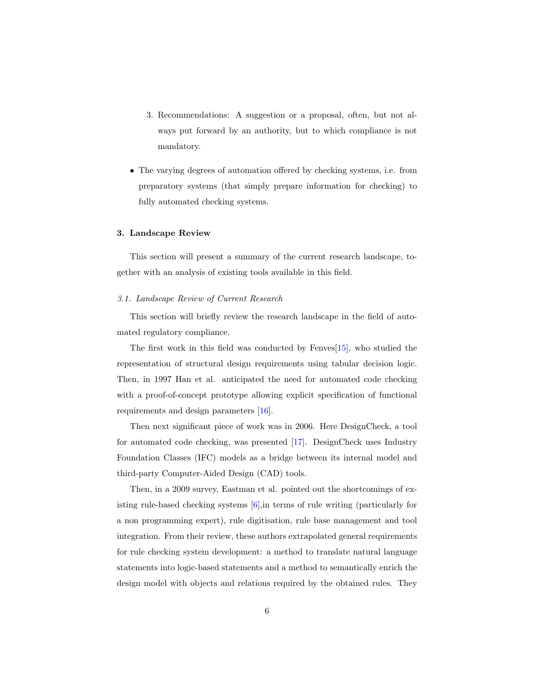- 3. Recommendations: A suggestion or a proposal, often, but not always put forward by an authority, but to which compliance is not mandatory.
- The varying degrees of automation offered by checking systems, i.e. from preparatory systems (that simply prepare information for checking) to fully automated checking systems.

#### 3. Landscape Review

This section will present a summary of the current research landscape, together with an analysis of existing tools available in this field.

#### *3.1. Landscape Review of Current Research*

This section will briefly review the research landscape in the field of automated regulatory compliance.

The first work in this field was conducted by Fenves[15], who studied the representation of structural design requirements using tabular decision logic. Then, in 1997 Han et al. anticipated the need for automated code checking with a proof-of-concept prototype allowing explicit specification of functional requirements and design parameters [16].

Then next significant piece of work was in 2006. Here DesignCheck, a tool for automated code checking, was presented [17]. DesignCheck uses Industry Foundation Classes (IFC) models as a bridge between its internal model and third-party Computer-Aided Design (CAD) tools.

Then, in a 2009 survey, Eastman et al. pointed out the shortcomings of existing rule-based checking systems [6],in terms of rule writing (particularly for a non programming expert), rule digitisation, rule base management and tool integration. From their review, these authors extrapolated general requirements for rule checking system development: a method to translate natural language statements into logic-based statements and a method to semantically enrich the design model with objects and relations required by the obtained rules. They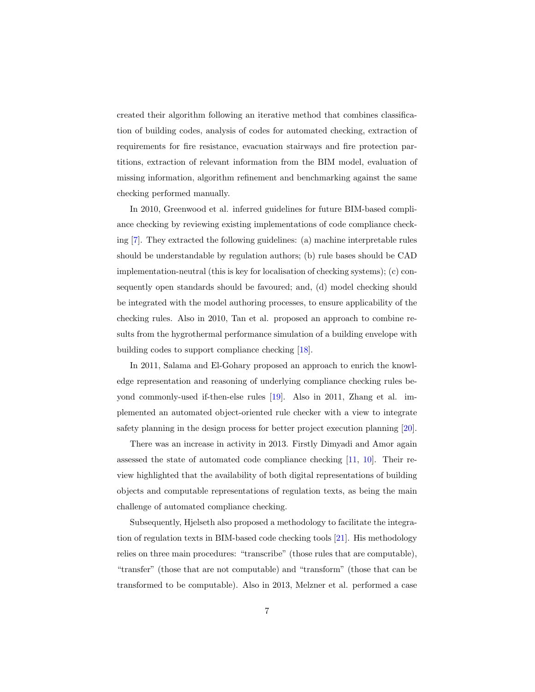created their algorithm following an iterative method that combines classification of building codes, analysis of codes for automated checking, extraction of requirements for fire resistance, evacuation stairways and fire protection partitions, extraction of relevant information from the BIM model, evaluation of missing information, algorithm refinement and benchmarking against the same checking performed manually.

In 2010, Greenwood et al. inferred guidelines for future BIM-based compliance checking by reviewing existing implementations of code compliance checking [7]. They extracted the following guidelines: (a) machine interpretable rules should be understandable by regulation authors; (b) rule bases should be CAD implementation-neutral (this is key for localisation of checking systems); (c) consequently open standards should be favoured; and, (d) model checking should be integrated with the model authoring processes, to ensure applicability of the checking rules. Also in 2010, Tan et al. proposed an approach to combine results from the hygrothermal performance simulation of a building envelope with building codes to support compliance checking [18].

In 2011, Salama and El-Gohary proposed an approach to enrich the knowledge representation and reasoning of underlying compliance checking rules beyond commonly-used if-then-else rules [19]. Also in 2011, Zhang et al. implemented an automated object-oriented rule checker with a view to integrate safety planning in the design process for better project execution planning [20].

There was an increase in activity in 2013. Firstly Dimyadi and Amor again assessed the state of automated code compliance checking [11, 10]. Their review highlighted that the availability of both digital representations of building objects and computable representations of regulation texts, as being the main challenge of automated compliance checking.

Subsequently, Hjelseth also proposed a methodology to facilitate the integration of regulation texts in BIM-based code checking tools [21]. His methodology relies on three main procedures: "transcribe" (those rules that are computable), "transfer" (those that are not computable) and "transform" (those that can be transformed to be computable). Also in 2013, Melzner et al. performed a case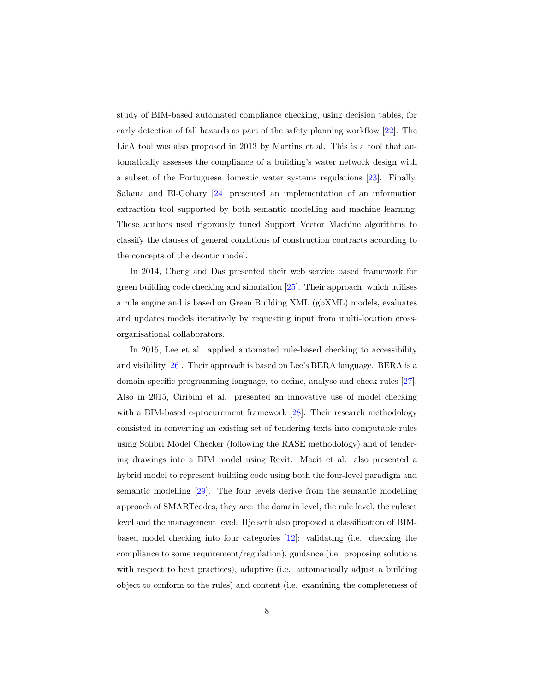study of BIM-based automated compliance checking, using decision tables, for early detection of fall hazards as part of the safety planning workflow [22]. The LicA tool was also proposed in 2013 by Martins et al. This is a tool that automatically assesses the compliance of a building's water network design with a subset of the Portuguese domestic water systems regulations [23]. Finally, Salama and El-Gohary [24] presented an implementation of an information extraction tool supported by both semantic modelling and machine learning. These authors used rigorously tuned Support Vector Machine algorithms to classify the clauses of general conditions of construction contracts according to the concepts of the deontic model.

In 2014, Cheng and Das presented their web service based framework for green building code checking and simulation [25]. Their approach, which utilises a rule engine and is based on Green Building XML (gbXML) models, evaluates and updates models iteratively by requesting input from multi-location crossorganisational collaborators.

In 2015, Lee et al. applied automated rule-based checking to accessibility and visibility [26]. Their approach is based on Lee's BERA language. BERA is a domain specific programming language, to define, analyse and check rules [27]. Also in 2015, Ciribini et al. presented an innovative use of model checking with a BIM-based e-procurement framework [28]. Their research methodology consisted in converting an existing set of tendering texts into computable rules using Solibri Model Checker (following the RASE methodology) and of tendering drawings into a BIM model using Revit. Macit et al. also presented a hybrid model to represent building code using both the four-level paradigm and semantic modelling [29]. The four levels derive from the semantic modelling approach of SMARTcodes, they are: the domain level, the rule level, the ruleset level and the management level. Hjelseth also proposed a classification of BIMbased model checking into four categories [12]: validating (i.e. checking the compliance to some requirement/regulation), guidance (i.e. proposing solutions with respect to best practices), adaptive (i.e. automatically adjust a building object to conform to the rules) and content (i.e. examining the completeness of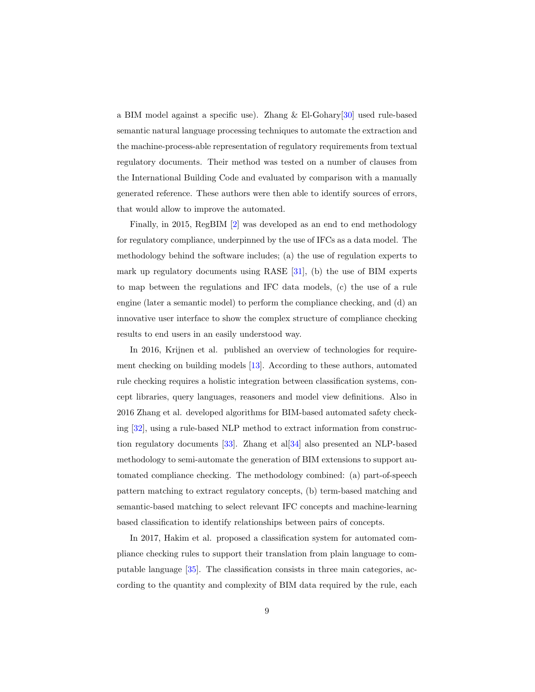a BIM model against a specific use). Zhang & El-Gohary[30] used rule-based semantic natural language processing techniques to automate the extraction and the machine-process-able representation of regulatory requirements from textual regulatory documents. Their method was tested on a number of clauses from the International Building Code and evaluated by comparison with a manually generated reference. These authors were then able to identify sources of errors, that would allow to improve the automated.

Finally, in 2015, RegBIM [2] was developed as an end to end methodology for regulatory compliance, underpinned by the use of IFCs as a data model. The methodology behind the software includes; (a) the use of regulation experts to mark up regulatory documents using RASE [31], (b) the use of BIM experts to map between the regulations and IFC data models, (c) the use of a rule engine (later a semantic model) to perform the compliance checking, and (d) an innovative user interface to show the complex structure of compliance checking results to end users in an easily understood way.

In 2016, Krijnen et al. published an overview of technologies for requirement checking on building models [13]. According to these authors, automated rule checking requires a holistic integration between classification systems, concept libraries, query languages, reasoners and model view definitions. Also in 2016 Zhang et al. developed algorithms for BIM-based automated safety checking [32], using a rule-based NLP method to extract information from construction regulatory documents [33]. Zhang et al[34] also presented an NLP-based methodology to semi-automate the generation of BIM extensions to support automated compliance checking. The methodology combined: (a) part-of-speech pattern matching to extract regulatory concepts, (b) term-based matching and semantic-based matching to select relevant IFC concepts and machine-learning based classification to identify relationships between pairs of concepts.

In 2017, Hakim et al. proposed a classification system for automated compliance checking rules to support their translation from plain language to computable language [35]. The classification consists in three main categories, according to the quantity and complexity of BIM data required by the rule, each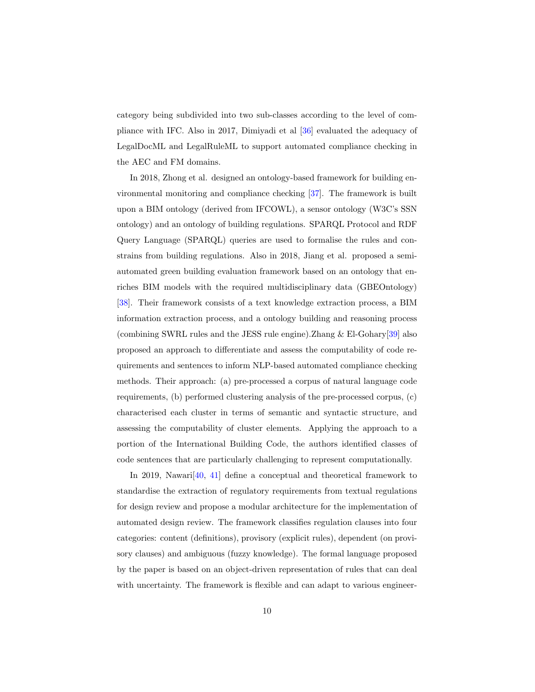category being subdivided into two sub-classes according to the level of compliance with IFC. Also in 2017, Dimiyadi et al [36] evaluated the adequacy of LegalDocML and LegalRuleML to support automated compliance checking in the AEC and FM domains.

In 2018, Zhong et al. designed an ontology-based framework for building environmental monitoring and compliance checking [37]. The framework is built upon a BIM ontology (derived from IFCOWL), a sensor ontology (W3C's SSN ontology) and an ontology of building regulations. SPARQL Protocol and RDF Query Language (SPARQL) queries are used to formalise the rules and constrains from building regulations. Also in 2018, Jiang et al. proposed a semiautomated green building evaluation framework based on an ontology that enriches BIM models with the required multidisciplinary data (GBEOntology) [38]. Their framework consists of a text knowledge extraction process, a BIM information extraction process, and a ontology building and reasoning process (combining SWRL rules and the JESS rule engine).Zhang & El-Gohary[39] also proposed an approach to differentiate and assess the computability of code requirements and sentences to inform NLP-based automated compliance checking methods. Their approach: (a) pre-processed a corpus of natural language code requirements, (b) performed clustering analysis of the pre-processed corpus, (c) characterised each cluster in terms of semantic and syntactic structure, and assessing the computability of cluster elements. Applying the approach to a portion of the International Building Code, the authors identified classes of code sentences that are particularly challenging to represent computationally.

In 2019, Nawari<sup>[40, 41]</sup> define a conceptual and theoretical framework to standardise the extraction of regulatory requirements from textual regulations for design review and propose a modular architecture for the implementation of automated design review. The framework classifies regulation clauses into four categories: content (definitions), provisory (explicit rules), dependent (on provisory clauses) and ambiguous (fuzzy knowledge). The formal language proposed by the paper is based on an object-driven representation of rules that can deal with uncertainty. The framework is flexible and can adapt to various engineer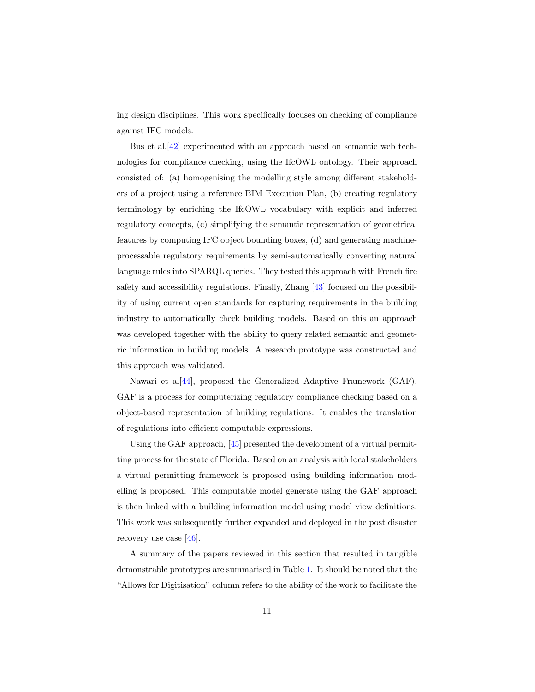ing design disciplines. This work specifically focuses on checking of compliance against IFC models.

Bus et al.[42] experimented with an approach based on semantic web technologies for compliance checking, using the IfcOWL ontology. Their approach consisted of: (a) homogenising the modelling style among different stakeholders of a project using a reference BIM Execution Plan, (b) creating regulatory terminology by enriching the IfcOWL vocabulary with explicit and inferred regulatory concepts, (c) simplifying the semantic representation of geometrical features by computing IFC object bounding boxes, (d) and generating machineprocessable regulatory requirements by semi-automatically converting natural language rules into SPARQL queries. They tested this approach with French fire safety and accessibility regulations. Finally, Zhang [43] focused on the possibility of using current open standards for capturing requirements in the building industry to automatically check building models. Based on this an approach was developed together with the ability to query related semantic and geometric information in building models. A research prototype was constructed and this approach was validated.

Nawari et al[44], proposed the Generalized Adaptive Framework (GAF). GAF is a process for computerizing regulatory compliance checking based on a object-based representation of building regulations. It enables the translation of regulations into efficient computable expressions.

Using the GAF approach, [45] presented the development of a virtual permitting process for the state of Florida. Based on an analysis with local stakeholders a virtual permitting framework is proposed using building information modelling is proposed. This computable model generate using the GAF approach is then linked with a building information model using model view definitions. This work was subsequently further expanded and deployed in the post disaster recovery use case [46].

A summary of the papers reviewed in this section that resulted in tangible demonstrable prototypes are summarised in Table 1. It should be noted that the "Allows for Digitisation" column refers to the ability of the work to facilitate the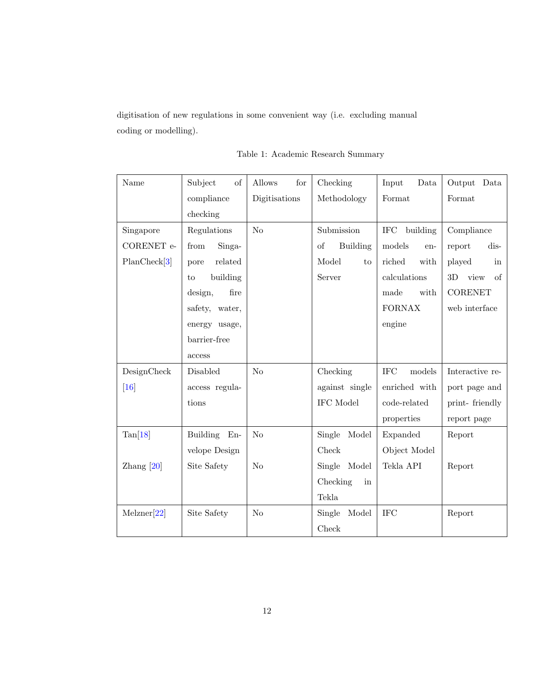digitisation of new regulations in some convenient way (i.e. excluding manual coding or modelling).

Table 1: Academic Research Summary

| Name         | Subject<br>of   | Allows<br>for  | Checking              | $\it Data$<br>Input  | Output<br>Data   |
|--------------|-----------------|----------------|-----------------------|----------------------|------------------|
|              | compliance      | Digitisations  | Methodology           | Format               | Format           |
|              | checking        |                |                       |                      |                  |
| Singapore    | Regulations     | N <sub>o</sub> | Submission            | IFC<br>building      | Compliance       |
| CORENET e-   | Singa-<br>from  |                | of<br><b>Building</b> | models<br>en-        | dis-<br>report   |
| PlanCheck[3] | related<br>pore |                | Model<br>to           | riched<br>with       | played<br>in     |
|              | building<br>to  |                | Server                | calculations         | 3D<br>view<br>of |
|              | fire<br>design, |                |                       | made<br>with         | <b>CORENET</b>   |
|              | safety, water,  |                |                       | <b>FORNAX</b>        | web interface    |
|              | energy usage,   |                |                       | engine               |                  |
|              | barrier-free    |                |                       |                      |                  |
|              | access          |                |                       |                      |                  |
| DesignCheck  | Disabled        | No             | Checking              | <b>IFC</b><br>models | Interactive re-  |
| [16]         | access regula-  |                | against single        | enriched with        | port page and    |
|              | tions           |                | IFC Model             | code-related         | print-friendly   |
|              |                 |                |                       | properties           | report page      |
| Tan[18]      | Building En-    | N <sub>o</sub> | Single<br>Model       | Expanded             | Report           |
|              | velope Design   |                | Check                 | Object Model         |                  |
| Zhang $[20]$ | Site Safety     | N <sub>o</sub> | Single Model          | Tekla API            | Report           |
|              |                 |                | Checking<br>in        |                      |                  |
|              |                 |                | Tekla                 |                      |                  |
| Melzner[22]  | Site Safety     | N <sub>o</sub> | Single<br>Model       | <b>IFC</b>           | Report           |
|              |                 |                | Check                 |                      |                  |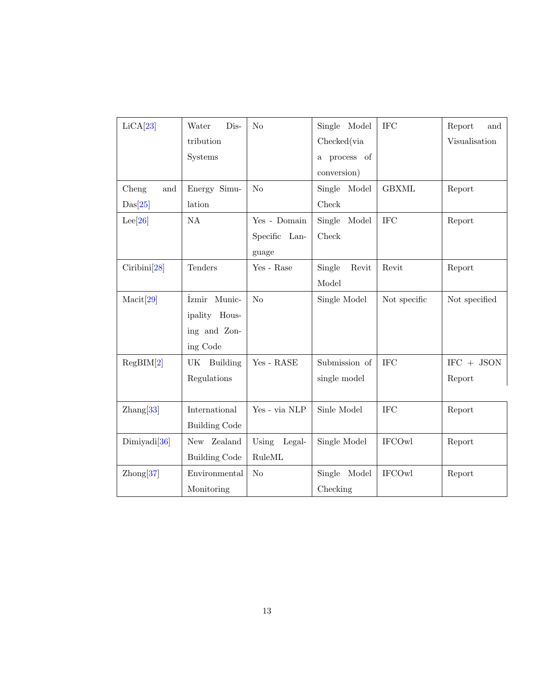| LiCA[23]             | Water<br>Dis-        | No              | Single Model               | <b>IFC</b>    | Report<br>and |
|----------------------|----------------------|-----------------|----------------------------|---------------|---------------|
|                      | tribution            |                 | Checked(via                |               | Visualisation |
|                      | Systems              |                 | process of<br>$\mathbf{a}$ |               |               |
|                      |                      |                 | conversion)                |               |               |
| Cheng<br>and         | Energy Simu-         | No              | Single Model               | <b>GBXML</b>  | Report        |
| Das[25]              | lation               |                 | Check                      |               |               |
| Lee[26]              | NA                   | Yes - Domain    | Single<br>Model            | <b>IFC</b>    | Report        |
|                      |                      | Specific Lan-   | Check                      |               |               |
|                      |                      | guage           |                            |               |               |
| Ciribini[28]         | Tenders              | Yes - Rase      | Single<br>Revit            | Revit         | Report        |
|                      |                      |                 | Model                      |               |               |
| Macit[29]            | Izmir Munic-         | N <sub>o</sub>  | Single Model               | Not specific  | Not specified |
|                      | ipality Hous-        |                 |                            |               |               |
|                      | ing and Zon-         |                 |                            |               |               |
|                      | ing Code             |                 |                            |               |               |
| RegBIM[2]            | UK Building          | Yes - RASE      | Submission of              | <b>IFC</b>    | $IFC + JSON$  |
|                      | Regulations          |                 | single model               |               | Report        |
|                      |                      |                 |                            |               |               |
| $\mathrm{Zhang}[33]$ | International        | Yes - via NLP   | Sinle Model                | <b>IFC</b>    | Report        |
|                      | <b>Building Code</b> |                 |                            |               |               |
| Dimiyadi[36]         | New Zealand          | Using<br>Legal- | Single Model               | <b>IFCOwl</b> | Report        |
|                      | <b>Building Code</b> | RuleML          |                            |               |               |
| $\mathrm{Zhong}[37]$ | Environmental        | $\rm No$        | Single Model               | <b>IFCOwl</b> | Report        |
|                      | Monitoring           |                 | Checking                   |               |               |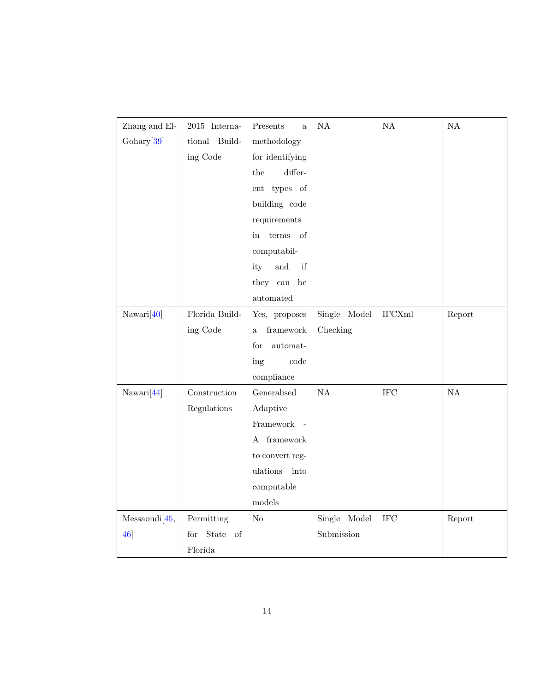| Zhang and El-   | 2015 Interna-      | Presents<br>a                                   | $\mathrm{NA}$ | $\mathrm{NA}$           | $\mathrm{NA}$ |
|-----------------|--------------------|-------------------------------------------------|---------------|-------------------------|---------------|
| Gohary[39]      | tional<br>Build-   | methodology                                     |               |                         |               |
|                 | ing Code           | for identifying                                 |               |                         |               |
|                 |                    | $differ-$<br>the                                |               |                         |               |
|                 |                    | ent types of                                    |               |                         |               |
|                 |                    | building code                                   |               |                         |               |
|                 |                    | requirements                                    |               |                         |               |
|                 |                    | terms of<br>in                                  |               |                         |               |
|                 |                    | computabil-                                     |               |                         |               |
|                 |                    | $\quad \  \  \, \text{and}$<br>ity<br>if        |               |                         |               |
|                 |                    | they $% \left\vert \cdot \right\vert$ can<br>be |               |                         |               |
|                 |                    | automated                                       |               |                         |               |
| Nawari[40]      | Florida Build-     | Yes, proposes                                   | Single Model  | $\operatorname{IFCXml}$ | Report        |
|                 | ing Code           | framework<br>a.                                 | Checking      |                         |               |
|                 |                    | automat-<br>for                                 |               |                         |               |
|                 |                    | code<br>ing                                     |               |                         |               |
|                 |                    | compliance                                      |               |                         |               |
| Nawari[44]      | Construction       | Generalised                                     | NA            | <b>IFC</b>              | $\mathrm{NA}$ |
|                 | Regulations        | Adaptive                                        |               |                         |               |
|                 |                    | Framework<br>$\overline{a}$                     |               |                         |               |
|                 |                    | ${\it framework}$<br>A                          |               |                         |               |
|                 |                    | to convert reg-                                 |               |                         |               |
|                 |                    | ulations<br>into                                |               |                         |               |
|                 |                    | computable                                      |               |                         |               |
|                 |                    | models                                          |               |                         |               |
| Messagewidi[45, | Permitting         | No                                              | Single Model  | <b>IFC</b>              | Report        |
| 46              | State<br>of<br>for |                                                 | Submission    |                         |               |
|                 | Florida            |                                                 |               |                         |               |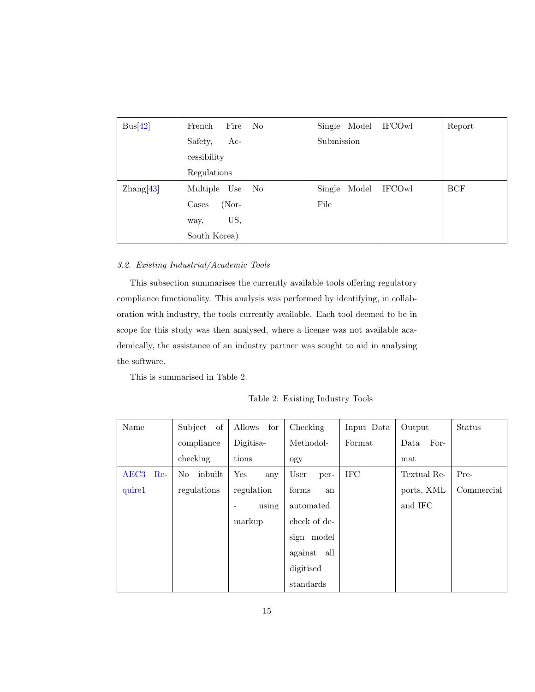| Bus[42]       | Fire<br>French   | No             | Single Model    | <b>IFCOwl</b> | Report |
|---------------|------------------|----------------|-----------------|---------------|--------|
|               | Safety,<br>$Ac-$ |                | Submission      |               |        |
|               | cessibility      |                |                 |               |        |
|               | Regulations      |                |                 |               |        |
| Zhang[ $43$ ] | Multiple<br>Use  | N <sub>o</sub> | Model<br>Single | <b>IFCOwl</b> | BCF    |
|               | (Nor-<br>Cases   |                | File            |               |        |
|               | US,<br>way,      |                |                 |               |        |
|               | South Korea)     |                |                 |               |        |

# *3.2. Existing Industrial/Academic Tools*

This subsection summarises the currently available tools offering regulatory compliance functionality. This analysis was performed by identifying, in collaboration with industry, the tools currently available. Each tool deemed to be in scope for this study was then analysed, where a license was not available academically, the assistance of an industry partner was sought to aid in analysing the software.

This is summarised in Table 2.

Table 2: Existing Industry Tools

| Name                    | of<br>Subject | Allows<br>for                     | Checking     | Input Data        | Output       | Status     |
|-------------------------|---------------|-----------------------------------|--------------|-------------------|--------------|------------|
|                         | compliance    | Digitisa-                         | Methodol-    | Format            | For-<br>Data |            |
|                         | checking      | tions                             | ogy          |                   | mat          |            |
| AEC <sub>3</sub><br>Re- | inbuilt<br>No | Yes<br>any                        | User<br>per- | $_{\mathrm{IFC}}$ | Textual Re-  | Pre-       |
| quire1                  | regulations   | regulation                        | forms<br>an  |                   | ports, XML   | Commercial |
|                         |               | using<br>$\overline{\phantom{a}}$ | automated    |                   | and IFC      |            |
|                         |               | markup                            | check of de- |                   |              |            |
|                         |               |                                   | sign model   |                   |              |            |
|                         |               |                                   | against all  |                   |              |            |
|                         |               |                                   | digitised    |                   |              |            |
|                         |               |                                   | standards    |                   |              |            |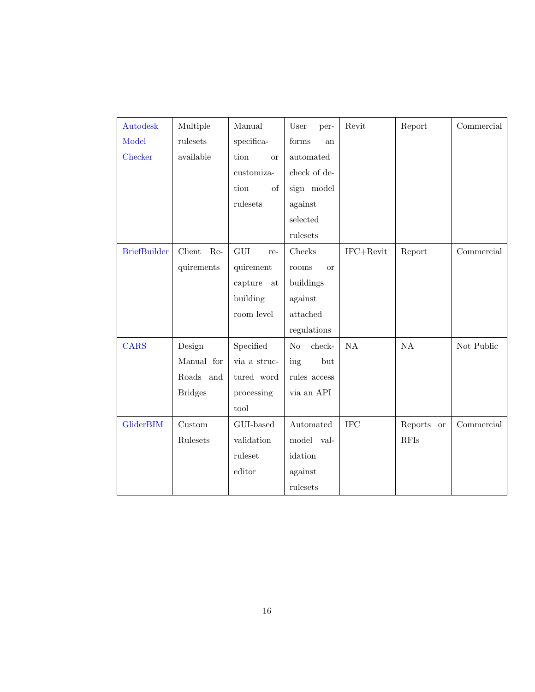| Autodesk            | Multiple       | Manual            | User<br>per-         | Revit         | Report               | Commercial |
|---------------------|----------------|-------------------|----------------------|---------------|----------------------|------------|
| Model               | rulesets       | specifica-        | forms<br>an          |               |                      |            |
| Checker             | available      | tion<br><b>or</b> | automated            |               |                      |            |
|                     |                | customiza-        | check of de-         |               |                      |            |
|                     |                | of<br>tion        | sign model           |               |                      |            |
|                     |                | rulesets          | against              |               |                      |            |
|                     |                |                   | selected             |               |                      |            |
|                     |                |                   | rulesets             |               |                      |            |
| <b>BriefBuilder</b> | Client<br>Re-  | GUI<br>re-        | Checks               | $IFC+Revit$   | Report               | Commercial |
|                     | quirements     | quirement         | rooms<br><b>or</b>   |               |                      |            |
|                     |                | capture<br>at     | buildings            |               |                      |            |
|                     |                | building          | against              |               |                      |            |
|                     |                | room level        | attached             |               |                      |            |
|                     |                |                   | regulations          |               |                      |            |
| <b>CARS</b>         | Design         | Specified         | $check-$<br>$\rm No$ | $\mathrm{NA}$ | $\mathrm{NA}$        | Not Public |
|                     | Manual for     | via a struc-      | ing<br>but           |               |                      |            |
|                     | Roads and      | tured word        | rules access         |               |                      |            |
|                     | <b>Bridges</b> | processing        | via an API           |               |                      |            |
|                     |                | tool              |                      |               |                      |            |
| GliderBIM           | $C$ ustom      | GUI-based         | Automated            | <b>IFC</b>    | Reports<br><b>or</b> | Commercial |
|                     | Rulesets       | validation        | model val-           |               | <b>RFIs</b>          |            |
|                     |                | ruleset           | idation              |               |                      |            |
|                     |                | editor            | against              |               |                      |            |
|                     |                |                   | rulesets             |               |                      |            |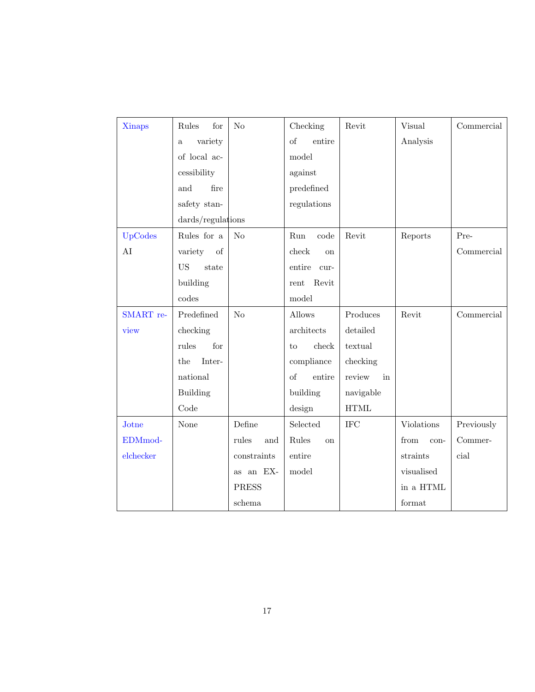| <b>Xinaps</b> | Rules<br>for                        | No           | Checking                | Revit                 | <b>Visual</b> | Commercial |
|---------------|-------------------------------------|--------------|-------------------------|-----------------------|---------------|------------|
|               | variety<br>$\mathbf{a}$             |              | <sub>of</sub><br>entire |                       | Analysis      |            |
|               | of local ac-                        |              | model                   |                       |               |            |
|               | cessibility                         |              | against                 |                       |               |            |
|               | and<br>fire                         |              | predefined              |                       |               |            |
|               | safety stan-                        |              | regulations             |                       |               |            |
|               | dards/regulations                   |              |                         |                       |               |            |
| UpCodes       | Rules for a                         | No           | Run<br>code             | Revit                 | Reports       | Pre-       |
| AI            | variety<br>of                       |              | check<br><sub>on</sub>  |                       |               | Commercial |
|               | $\boldsymbol{\mathrm{US}}$<br>state |              | entire<br>cur-          |                       |               |            |
|               | building                            |              | Revit<br>rent           |                       |               |            |
|               | codes                               |              | model                   |                       |               |            |
| SMART re-     | Predefined                          | No           | Allows                  | Produces              | Revit         | Commercial |
| view          | checking                            |              | architects              | detailed              |               |            |
|               | for<br>rules                        |              | check<br>to             | textual               |               |            |
|               | Inter-<br>the                       |              | compliance              | checking              |               |            |
|               | national                            |              | of<br>entire            | review<br>in          |               |            |
|               | <b>Building</b>                     |              | building                | navigable             |               |            |
|               | Code                                |              | design                  | $\operatorname{HTML}$ |               |            |
| Jotne         | None                                | Define       | Selected                | <b>IFC</b>            | Violations    | Previously |
| EDMmod-       |                                     | rules<br>and | Rules<br><b>on</b>      |                       | from<br>con-  | Commer-    |
| elchecker     |                                     | constraints  | entire                  |                       | straints      | cial       |
|               |                                     | as an EX-    | model                   |                       | visualised    |            |
|               |                                     | <b>PRESS</b> |                         |                       | in a HTML     |            |
|               |                                     | schema       |                         |                       | format        |            |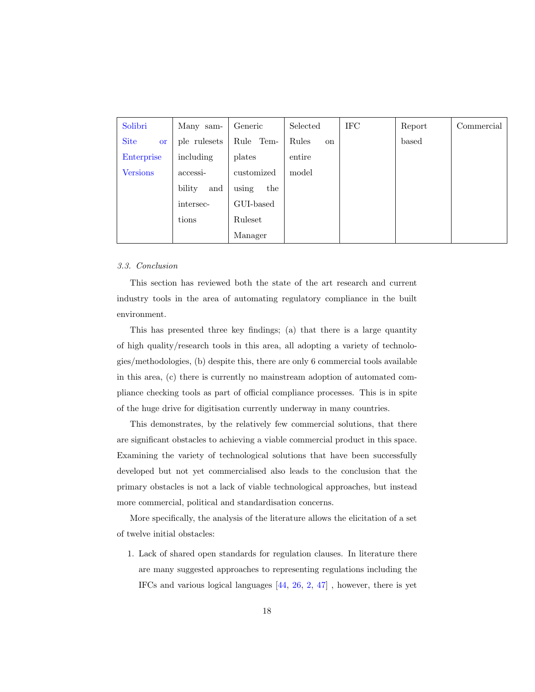| Solibri                  | Many sam-     | Generic      | Selected               | <b>IFC</b> | Report | Commercial |
|--------------------------|---------------|--------------|------------------------|------------|--------|------------|
| <b>Site</b><br><b>or</b> | ple rulesets  | Rule<br>Tem- | Rules<br><sub>on</sub> |            | based  |            |
| Enterprise               | including     | plates       | entire                 |            |        |            |
| <b>Versions</b>          | $\arcces$ si- | customized   | model                  |            |        |            |
|                          | bility<br>and | using<br>the |                        |            |        |            |
|                          | intersec-     | GUI-based    |                        |            |        |            |
|                          | tions         | Ruleset      |                        |            |        |            |
|                          |               | Manager      |                        |            |        |            |

#### *3.3. Conclusion*

This section has reviewed both the state of the art research and current industry tools in the area of automating regulatory compliance in the built environment.

This has presented three key findings; (a) that there is a large quantity of high quality/research tools in this area, all adopting a variety of technologies/methodologies, (b) despite this, there are only 6 commercial tools available in this area, (c) there is currently no mainstream adoption of automated compliance checking tools as part of official compliance processes. This is in spite of the huge drive for digitisation currently underway in many countries.

This demonstrates, by the relatively few commercial solutions, that there are significant obstacles to achieving a viable commercial product in this space. Examining the variety of technological solutions that have been successfully developed but not yet commercialised also leads to the conclusion that the primary obstacles is not a lack of viable technological approaches, but instead more commercial, political and standardisation concerns.

More specifically, the analysis of the literature allows the elicitation of a set of twelve initial obstacles:

1. Lack of shared open standards for regulation clauses. In literature there are many suggested approaches to representing regulations including the IFCs and various logical languages [44, 26, 2, 47] , however, there is yet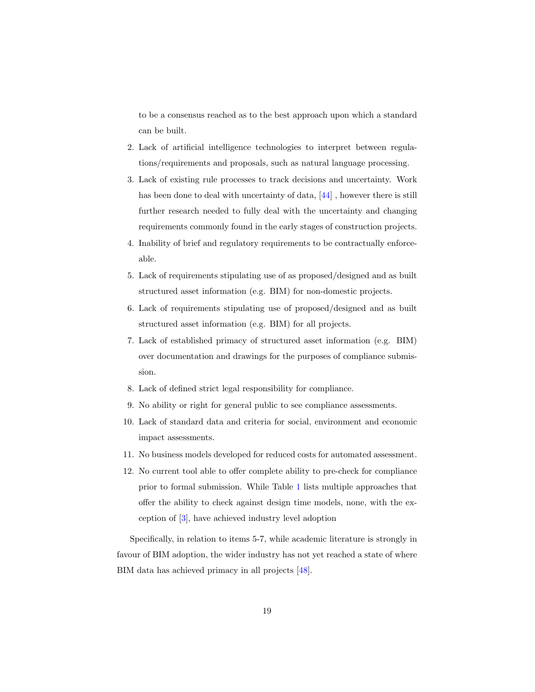to be a consensus reached as to the best approach upon which a standard can be built.

- 2. Lack of artificial intelligence technologies to interpret between regulations/requirements and proposals, such as natural language processing.
- 3. Lack of existing rule processes to track decisions and uncertainty. Work has been done to deal with uncertainty of data, [44], however there is still further research needed to fully deal with the uncertainty and changing requirements commonly found in the early stages of construction projects.
- 4. Inability of brief and regulatory requirements to be contractually enforceable.
- 5. Lack of requirements stipulating use of as proposed/designed and as built structured asset information (e.g. BIM) for non-domestic projects.
- 6. Lack of requirements stipulating use of proposed/designed and as built structured asset information (e.g. BIM) for all projects.
- 7. Lack of established primacy of structured asset information (e.g. BIM) over documentation and drawings for the purposes of compliance submission.
- 8. Lack of defined strict legal responsibility for compliance.
- 9. No ability or right for general public to see compliance assessments.
- 10. Lack of standard data and criteria for social, environment and economic impact assessments.
- 11. No business models developed for reduced costs for automated assessment.
- 12. No current tool able to offer complete ability to pre-check for compliance prior to formal submission. While Table 1 lists multiple approaches that offer the ability to check against design time models, none, with the exception of [3], have achieved industry level adoption

Specifically, in relation to items 5-7, while academic literature is strongly in favour of BIM adoption, the wider industry has not yet reached a state of where BIM data has achieved primacy in all projects [48].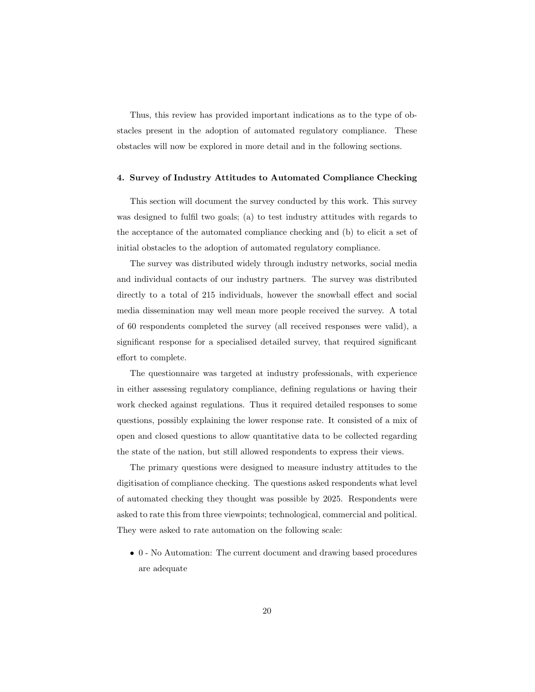Thus, this review has provided important indications as to the type of obstacles present in the adoption of automated regulatory compliance. These obstacles will now be explored in more detail and in the following sections.

#### 4. Survey of Industry Attitudes to Automated Compliance Checking

This section will document the survey conducted by this work. This survey was designed to fulfil two goals; (a) to test industry attitudes with regards to the acceptance of the automated compliance checking and (b) to elicit a set of initial obstacles to the adoption of automated regulatory compliance.

The survey was distributed widely through industry networks, social media and individual contacts of our industry partners. The survey was distributed directly to a total of 215 individuals, however the snowball effect and social media dissemination may well mean more people received the survey. A total of 60 respondents completed the survey (all received responses were valid), a significant response for a specialised detailed survey, that required significant effort to complete.

The questionnaire was targeted at industry professionals, with experience in either assessing regulatory compliance, defining regulations or having their work checked against regulations. Thus it required detailed responses to some questions, possibly explaining the lower response rate. It consisted of a mix of open and closed questions to allow quantitative data to be collected regarding the state of the nation, but still allowed respondents to express their views.

The primary questions were designed to measure industry attitudes to the digitisation of compliance checking. The questions asked respondents what level of automated checking they thought was possible by 2025. Respondents were asked to rate this from three viewpoints; technological, commercial and political. They were asked to rate automation on the following scale:

• 0 - No Automation: The current document and drawing based procedures are adequate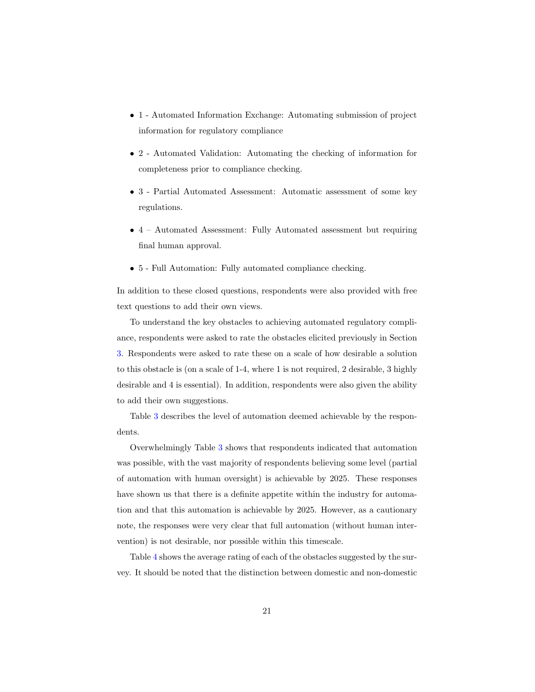- 1 Automated Information Exchange: Automating submission of project information for regulatory compliance
- 2 Automated Validation: Automating the checking of information for completeness prior to compliance checking.
- 3 Partial Automated Assessment: Automatic assessment of some key regulations.
- 4 Automated Assessment: Fully Automated assessment but requiring final human approval.
- 5 Full Automation: Fully automated compliance checking.

In addition to these closed questions, respondents were also provided with free text questions to add their own views.

To understand the key obstacles to achieving automated regulatory compliance, respondents were asked to rate the obstacles elicited previously in Section 3. Respondents were asked to rate these on a scale of how desirable a solution to this obstacle is (on a scale of 1-4, where 1 is not required, 2 desirable, 3 highly desirable and 4 is essential). In addition, respondents were also given the ability to add their own suggestions.

Table 3 describes the level of automation deemed achievable by the respondents.

Overwhelmingly Table 3 shows that respondents indicated that automation was possible, with the vast majority of respondents believing some level (partial of automation with human oversight) is achievable by 2025. These responses have shown us that there is a definite appetite within the industry for automation and that this automation is achievable by 2025. However, as a cautionary note, the responses were very clear that full automation (without human intervention) is not desirable, nor possible within this timescale.

Table 4 shows the average rating of each of the obstacles suggested by the survey. It should be noted that the distinction between domestic and non-domestic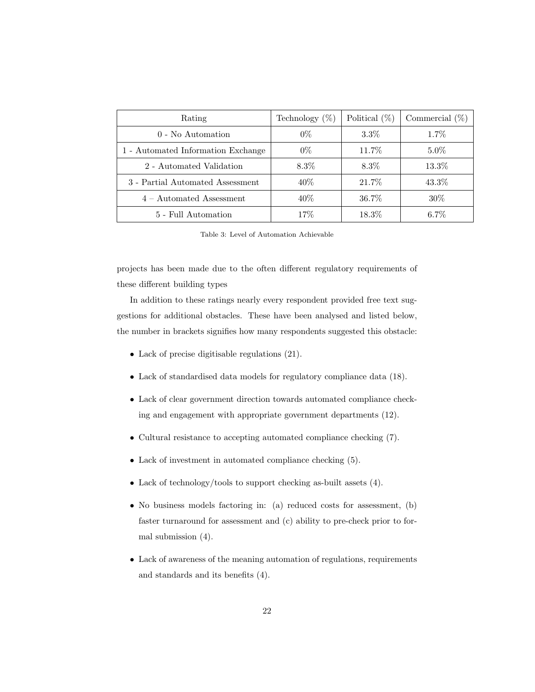| Rating                             | Technology $(\%)$ | Political $(\%)$ | Commercial $(\%)$ |
|------------------------------------|-------------------|------------------|-------------------|
| $0$ - No Automation                | $0\%$             | $3.3\%$          | $1.7\%$           |
| 1 - Automated Information Exchange | $0\%$             | 11.7%            | $5.0\%$           |
| 2 - Automated Validation           | $8.3\%$           | $8.3\%$          | 13.3%             |
| 3 - Partial Automated Assessment   | $40\%$            | 21.7%            | 43.3%             |
| $4 -$ Automated Assessment         | $40\%$            | 36.7%            | $30\%$            |
| 5 - Full Automation                | 17%               | $18.3\%$         | $6.7\%$           |

Table 3: Level of Automation Achievable

projects has been made due to the often different regulatory requirements of these different building types

In addition to these ratings nearly every respondent provided free text suggestions for additional obstacles. These have been analysed and listed below, the number in brackets signifies how many respondents suggested this obstacle:

- Lack of precise digitisable regulations (21).
- Lack of standardised data models for regulatory compliance data (18).
- Lack of clear government direction towards automated compliance checking and engagement with appropriate government departments (12).
- Cultural resistance to accepting automated compliance checking (7).
- Lack of investment in automated compliance checking (5).
- Lack of technology/tools to support checking as-built assets (4).
- No business models factoring in: (a) reduced costs for assessment, (b) faster turnaround for assessment and (c) ability to pre-check prior to formal submission (4).
- Lack of awareness of the meaning automation of regulations, requirements and standards and its benefits (4).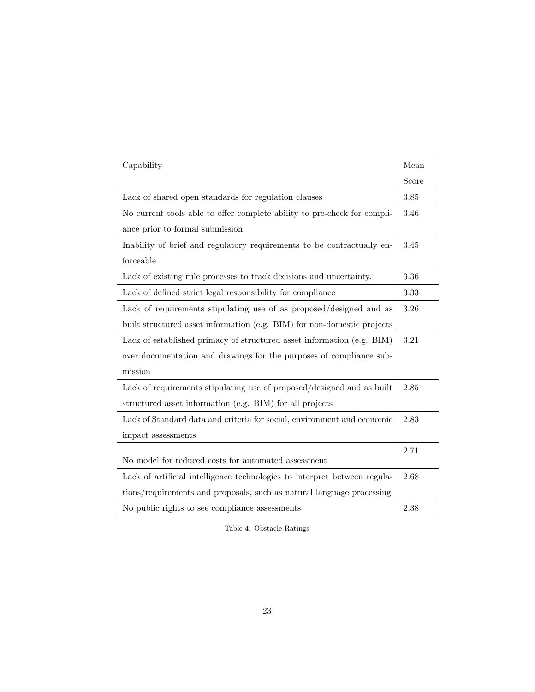| Capability                                                                | Mean  |
|---------------------------------------------------------------------------|-------|
|                                                                           | Score |
| Lack of shared open standards for regulation clauses                      | 3.85  |
| No current tools able to offer complete ability to pre-check for compli-  | 3.46  |
| ance prior to formal submission                                           |       |
| Inability of brief and regulatory requirements to be contractually en-    | 3.45  |
| forceable                                                                 |       |
| Lack of existing rule processes to track decisions and uncertainty.       | 3.36  |
| Lack of defined strict legal responsibility for compliance                | 3.33  |
| Lack of requirements stipulating use of as proposed/designed and as       | 3.26  |
| built structured asset information (e.g. BIM) for non-domestic projects   |       |
| Lack of established primacy of structured asset information (e.g. BIM)    | 3.21  |
| over documentation and drawings for the purposes of compliance sub-       |       |
| mission                                                                   |       |
| Lack of requirements stipulating use of proposed/designed and as built    | 2.85  |
| structured asset information (e.g. BIM) for all projects                  |       |
| Lack of Standard data and criteria for social, environment and economic   | 2.83  |
| impact assessments                                                        |       |
|                                                                           | 2.71  |
| No model for reduced costs for automated assessment                       |       |
| Lack of artificial intelligence technologies to interpret between regula- | 2.68  |
| tions/requirements and proposals, such as natural language processing     |       |
| No public rights to see compliance assessments                            | 2.38  |

Table 4: Obstacle Ratings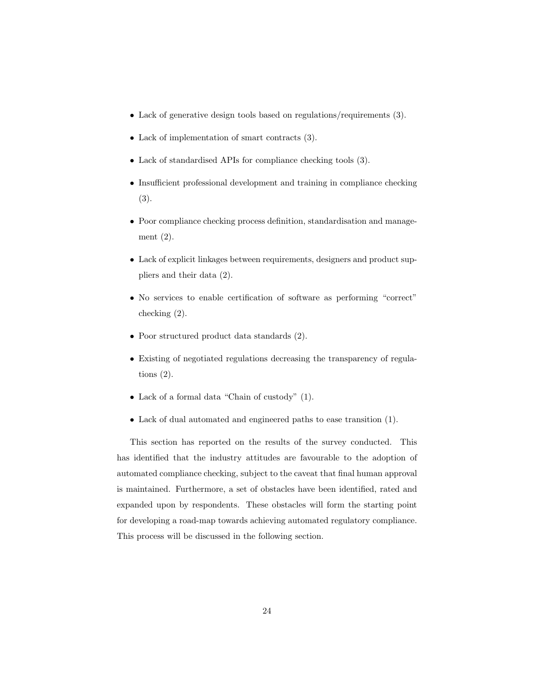- Lack of generative design tools based on regulations/requirements (3).
- Lack of implementation of smart contracts (3).
- Lack of standardised APIs for compliance checking tools (3).
- Insufficient professional development and training in compliance checking (3).
- Poor compliance checking process definition, standardisation and management (2).
- Lack of explicit linkages between requirements, designers and product suppliers and their data (2).
- No services to enable certification of software as performing "correct" checking (2).
- Poor structured product data standards (2).
- Existing of negotiated regulations decreasing the transparency of regulations  $(2)$ .
- Lack of a formal data "Chain of custody" (1).
- Lack of dual automated and engineered paths to ease transition (1).

This section has reported on the results of the survey conducted. This has identified that the industry attitudes are favourable to the adoption of automated compliance checking, subject to the caveat that final human approval is maintained. Furthermore, a set of obstacles have been identified, rated and expanded upon by respondents. These obstacles will form the starting point for developing a road-map towards achieving automated regulatory compliance. This process will be discussed in the following section.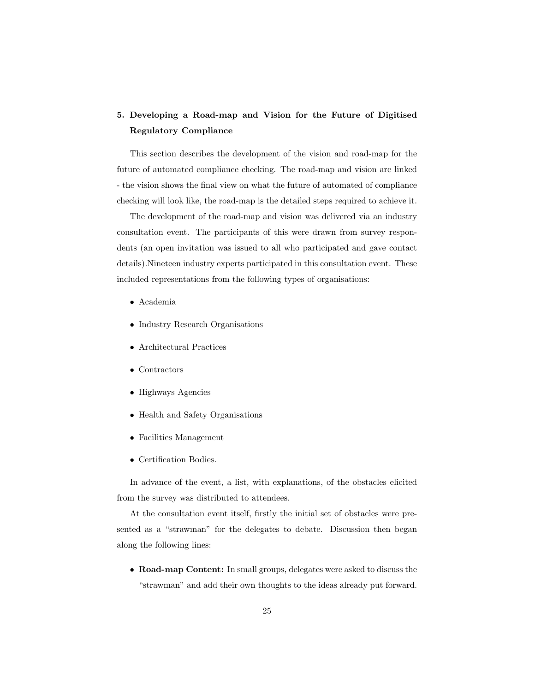# 5. Developing a Road-map and Vision for the Future of Digitised Regulatory Compliance

This section describes the development of the vision and road-map for the future of automated compliance checking. The road-map and vision are linked - the vision shows the final view on what the future of automated of compliance checking will look like, the road-map is the detailed steps required to achieve it.

The development of the road-map and vision was delivered via an industry consultation event. The participants of this were drawn from survey respondents (an open invitation was issued to all who participated and gave contact details).Nineteen industry experts participated in this consultation event. These included representations from the following types of organisations:

- Academia
- Industry Research Organisations
- Architectural Practices
- Contractors
- Highways Agencies
- Health and Safety Organisations
- Facilities Management
- Certification Bodies.

In advance of the event, a list, with explanations, of the obstacles elicited from the survey was distributed to attendees.

At the consultation event itself, firstly the initial set of obstacles were presented as a "strawman" for the delegates to debate. Discussion then began along the following lines:

• Road-map Content: In small groups, delegates were asked to discuss the "strawman" and add their own thoughts to the ideas already put forward.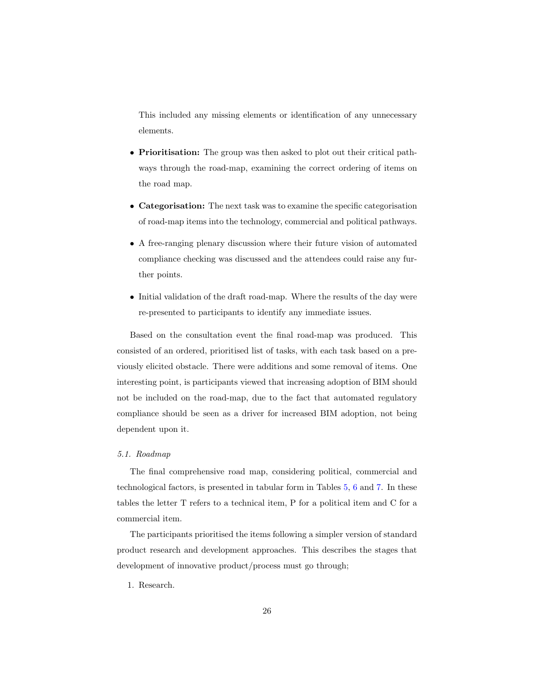This included any missing elements or identification of any unnecessary elements.

- Prioritisation: The group was then asked to plot out their critical pathways through the road-map, examining the correct ordering of items on the road map.
- Categorisation: The next task was to examine the specific categorisation of road-map items into the technology, commercial and political pathways.
- A free-ranging plenary discussion where their future vision of automated compliance checking was discussed and the attendees could raise any further points.
- Initial validation of the draft road-map. Where the results of the day were re-presented to participants to identify any immediate issues.

Based on the consultation event the final road-map was produced. This consisted of an ordered, prioritised list of tasks, with each task based on a previously elicited obstacle. There were additions and some removal of items. One interesting point, is participants viewed that increasing adoption of BIM should not be included on the road-map, due to the fact that automated regulatory compliance should be seen as a driver for increased BIM adoption, not being dependent upon it.

#### *5.1. Roadmap*

The final comprehensive road map, considering political, commercial and technological factors, is presented in tabular form in Tables 5, 6 and 7. In these tables the letter T refers to a technical item, P for a political item and C for a commercial item.

The participants prioritised the items following a simpler version of standard product research and development approaches. This describes the stages that development of innovative product/process must go through;

1. Research.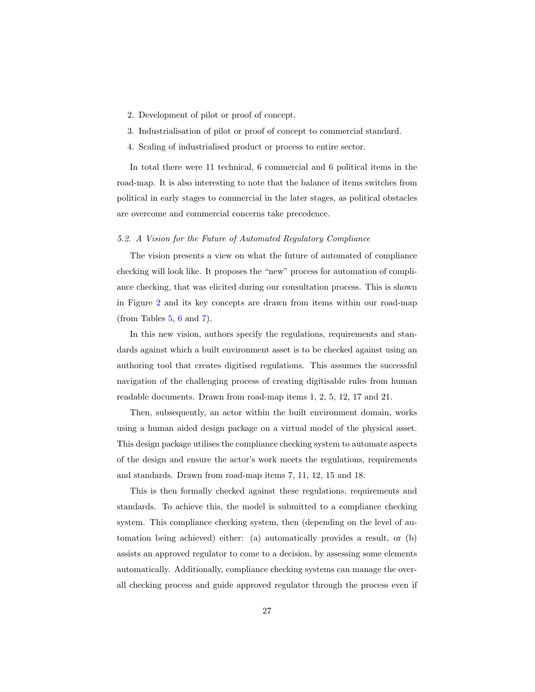- 2. Development of pilot or proof of concept.
- 3. Industrialisation of pilot or proof of concept to commercial standard.
- 4. Scaling of industrialised product or process to entire sector.

In total there were 11 technical, 6 commercial and 6 political items in the road-map. It is also interesting to note that the balance of items switches from political in early stages to commercial in the later stages, as political obstacles are overcome and commercial concerns take precedence.

#### *5.2. A Vision for the Future of Automated Regulatory Compliance*

The vision presents a view on what the future of automated of compliance checking will look like. It proposes the "new" process for automation of compliance checking, that was elicited during our consultation process. This is shown in Figure 2 and its key concepts are drawn from items within our road-map (from Tables  $5, 6$  and  $7$ ).

In this new vision, authors specify the regulations, requirements and standards against which a built environment asset is to be checked against using an authoring tool that creates digitised regulations. This assumes the successful navigation of the challenging process of creating digitisable rules from human readable documents. Drawn from road-map items 1, 2, 5, 12, 17 and 21.

Then, subsequently, an actor within the built environment domain, works using a human aided design package on a virtual model of the physical asset. This design package utilises the compliance checking system to automate aspects of the design and ensure the actor's work meets the regulations, requirements and standards. Drawn from road-map items 7, 11, 12, 15 and 18.

This is then formally checked against these regulations, requirements and standards. To achieve this, the model is submitted to a compliance checking system. This compliance checking system, then (depending on the level of automation being achieved) either: (a) automatically provides a result, or (b) assists an approved regulator to come to a decision, by assessing some elements automatically. Additionally, compliance checking systems can manage the overall checking process and guide approved regulator through the process even if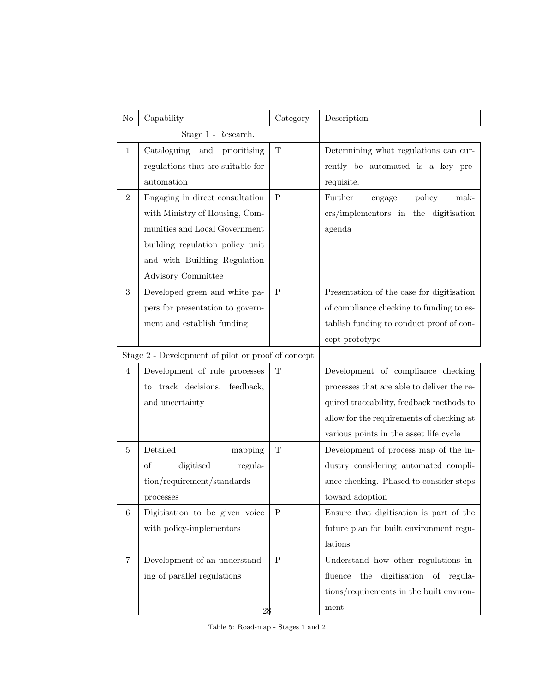| No               | Capability                                         | Category     | Description                                |
|------------------|----------------------------------------------------|--------------|--------------------------------------------|
|                  | Stage 1 - Research.                                |              |                                            |
| $\mathbf{1}$     | Cataloguing and prioritising                       | T            | Determining what regulations can cur-      |
|                  | regulations that are suitable for                  |              | rently be automated is a key pre-          |
|                  | automation                                         |              | requisite.                                 |
| $\overline{2}$   | Engaging in direct consultation                    | $\mathbf{P}$ | policy<br>Further<br>mak-<br>engage        |
|                  | with Ministry of Housing, Com-                     |              | ers/implementors in the digitisation       |
|                  | munities and Local Government                      |              | agenda                                     |
|                  | building regulation policy unit                    |              |                                            |
|                  | and with Building Regulation                       |              |                                            |
|                  | Advisory Committee                                 |              |                                            |
| $\boldsymbol{3}$ | Developed green and white pa-                      | $\mathbf{P}$ | Presentation of the case for digitisation  |
|                  | pers for presentation to govern-                   |              | of compliance checking to funding to es-   |
|                  | ment and establish funding                         |              | tablish funding to conduct proof of con-   |
|                  |                                                    |              | cept prototype                             |
|                  | Stage 2 - Development of pilot or proof of concept |              |                                            |
| $\overline{4}$   | Development of rule processes                      | T            | Development of compliance checking         |
|                  | to track decisions, feedback,                      |              | processes that are able to deliver the re- |
|                  | and uncertainty                                    |              | quired traceability, feedback methods to   |
|                  |                                                    |              | allow for the requirements of checking at  |
|                  |                                                    |              | various points in the asset life cycle     |
| $\bf 5$          | Detailed<br>mapping                                | T            | Development of process map of the in-      |
|                  | of<br>digitised<br>regula-                         |              | dustry considering automated compli-       |
|                  | tion/requirement/standards                         |              | ance checking. Phased to consider steps    |
|                  | processes                                          |              | toward adoption                            |
| 6                | Digitisation to be given voice                     | P            | Ensure that digitisation is part of the    |
|                  | with policy-implementors                           |              | future plan for built environment regu-    |
|                  |                                                    |              | lations                                    |
| 7                | Development of an understand-                      | P            | Understand how other regulations in-       |
|                  | ing of parallel regulations                        |              | digitisation of regula-<br>fluence<br>the  |
|                  |                                                    |              | tions/requirements in the built environ-   |
|                  | 28                                                 |              | ment                                       |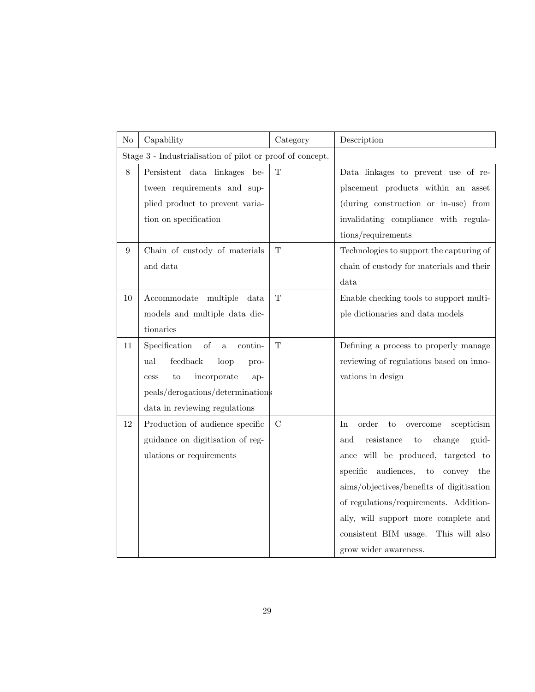| N <sub>o</sub>   | Capability                                                | Category      | Description                                             |
|------------------|-----------------------------------------------------------|---------------|---------------------------------------------------------|
|                  | Stage 3 - Industrialisation of pilot or proof of concept. |               |                                                         |
| $8\,$            | Persistent data linkages be-                              | $\mathbf T$   | Data linkages to prevent use of re-                     |
|                  | tween requirements and sup-                               |               | placement products within an asset                      |
|                  | plied product to prevent varia-                           |               | (during construction or in-use) from                    |
|                  | tion on specification                                     |               | invalidating compliance with regula-                    |
|                  |                                                           |               | tions/requirements                                      |
| $\boldsymbol{9}$ | Chain of custody of materials                             | $\mathbf T$   | Technologies to support the capturing of                |
|                  | and data                                                  |               | chain of custody for materials and their                |
|                  |                                                           |               | data                                                    |
| 10               | Accommodate multiple<br>data                              | $\mathbf T$   | Enable checking tools to support multi-                 |
|                  | models and multiple data dic-                             |               | ple dictionaries and data models                        |
|                  | tionaries                                                 |               |                                                         |
| 11               | Specification<br>of<br>contin-<br>$\mathbf{a}$            | $\mathbf T$   | Defining a process to properly manage                   |
|                  | ${\rm feedback}$<br>ual<br>loop<br>pro-                   |               | reviewing of regulations based on inno-                 |
|                  | incorporate<br>to<br>ap-<br>cess                          |               | vations in design                                       |
|                  | peals/derogations/determinations                          |               |                                                         |
|                  | data in reviewing regulations                             |               |                                                         |
| 12               | Production of audience specific                           | $\mathcal{C}$ | order<br>scepticism<br>In<br>$\rm{to}$<br>$\,$ overcome |
|                  | guidance on digitisation of reg-                          |               | resistance<br>and<br>to<br>change<br>guid-              |
|                  | ulations or requirements                                  |               | ance will be produced, targeted to                      |
|                  |                                                           |               | specific audiences,<br>$\rm{to}$<br>convey the          |
|                  |                                                           |               | aims/objectives/benefits of digitisation                |
|                  |                                                           |               | of regulations/requirements. Addition-                  |
|                  |                                                           |               | ally, will support more complete and                    |
|                  |                                                           |               | consistent BIM usage.<br>This will also                 |
|                  |                                                           |               | grow wider awareness.                                   |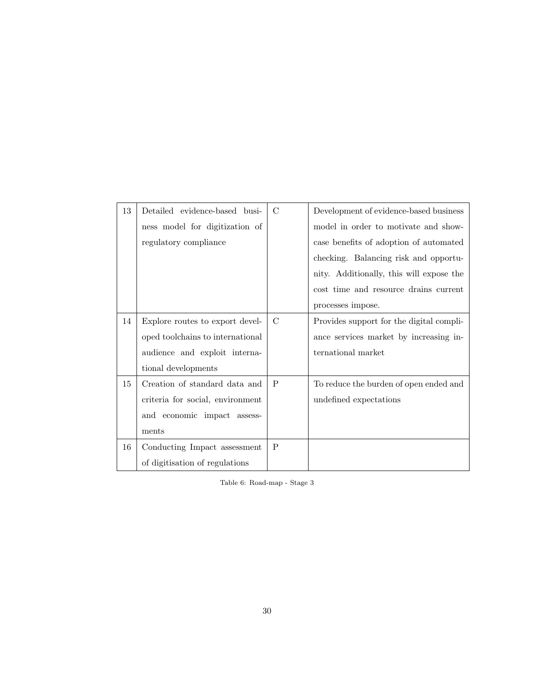| 13 | Detailed evidence-based busi-    | $\mathcal{C}$ | Development of evidence-based business   |
|----|----------------------------------|---------------|------------------------------------------|
|    | ness model for digitization of   |               | model in order to motivate and show-     |
|    | regulatory compliance            |               | case benefits of adoption of automated   |
|    |                                  |               | checking. Balancing risk and opportu-    |
|    |                                  |               | nity. Additionally, this will expose the |
|    |                                  |               | cost time and resource drains current    |
|    |                                  |               | processes impose.                        |
| 14 | Explore routes to export devel-  | C             | Provides support for the digital compli- |
|    | oped toolchains to international |               | ance services market by increasing in-   |
|    | audience and exploit interna-    |               | ternational market                       |
|    | tional developments              |               |                                          |
| 15 | Creation of standard data and    | $\mathbf{P}$  | To reduce the burden of open ended and   |
|    | criteria for social, environment |               | undefined expectations                   |
|    | and economic impact assess-      |               |                                          |
|    | ments                            |               |                                          |
| 16 | Conducting Impact assessment     | P             |                                          |
|    | of digitisation of regulations   |               |                                          |

Table 6: Road-map - Stage 3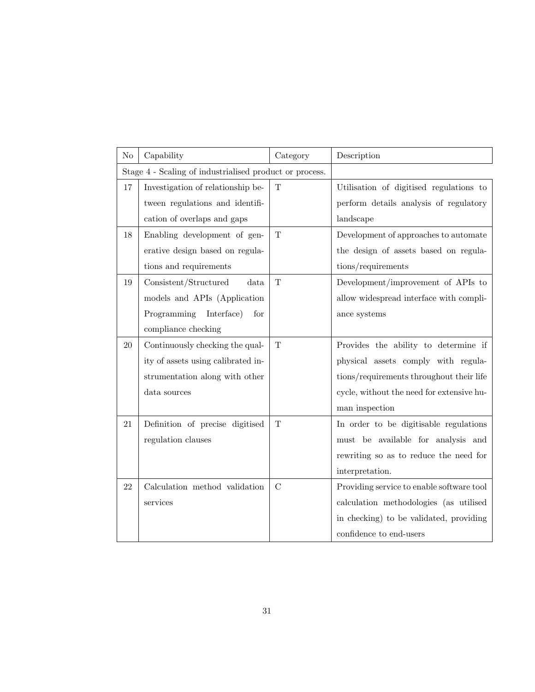| N <sub>o</sub>                                          | Capability                         | Category      | Description                               |
|---------------------------------------------------------|------------------------------------|---------------|-------------------------------------------|
| Stage 4 - Scaling of industrialised product or process. |                                    |               |                                           |
| 17                                                      | Investigation of relationship be-  | T             | Utilisation of digitised regulations to   |
|                                                         | tween regulations and identifi-    |               | perform details analysis of regulatory    |
|                                                         | cation of overlaps and gaps        |               | landscape                                 |
| 18                                                      | Enabling development of gen-       | $\mathbf T$   | Development of approaches to automate     |
|                                                         | erative design based on regula-    |               | the design of assets based on regula-     |
|                                                         | tions and requirements             |               | tions/requirements                        |
| 19                                                      | Consistent/Structured<br>data      | $\mathbf T$   | Development/improvement of APIs to        |
|                                                         | models and APIs (Application       |               | allow widespread interface with compli-   |
|                                                         | Programming Interface)<br>for      |               | ance systems                              |
|                                                         | compliance checking                |               |                                           |
| 20                                                      | Continuously checking the qual-    | $\mathbf T$   | Provides the ability to determine if      |
|                                                         | ity of assets using calibrated in- |               | physical assets comply with regula-       |
|                                                         | strumentation along with other     |               | tions/requirements throughout their life  |
|                                                         | data sources                       |               | cycle, without the need for extensive hu- |
|                                                         |                                    |               | man inspection                            |
| 21                                                      | Definition of precise digitised    | T             | In order to be digitisable regulations    |
|                                                         | regulation clauses                 |               | must be available for analysis and        |
|                                                         |                                    |               | rewriting so as to reduce the need for    |
|                                                         |                                    |               | interpretation.                           |
| 22                                                      | Calculation method validation      | $\mathcal{C}$ | Providing service to enable software tool |
|                                                         | services                           |               | calculation methodologies (as utilised    |
|                                                         |                                    |               | in checking) to be validated, providing   |
|                                                         |                                    |               | confidence to end-users                   |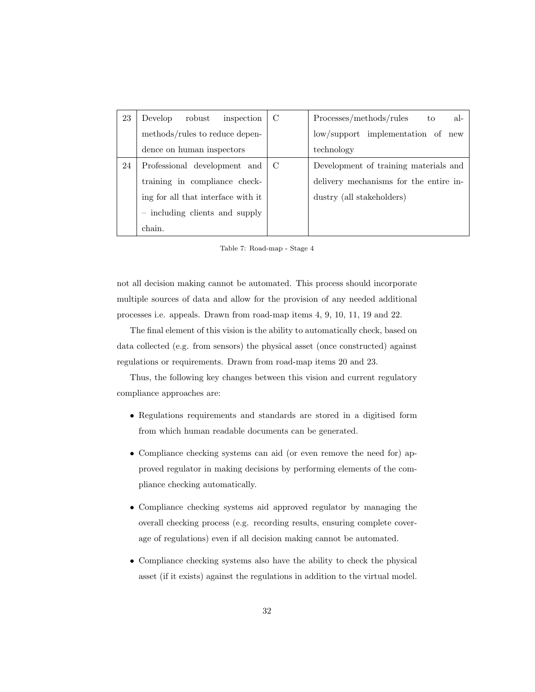| 23 | inspection<br>Develop<br>robust    | C   | Processes/methods/rules<br>al-<br>to   |
|----|------------------------------------|-----|----------------------------------------|
|    | methods/rules to reduce depen-     |     | low/support implementation of new      |
|    | dence on human inspectors          |     | technology                             |
| 24 | Professional development and       | - C | Development of training materials and  |
|    | training in compliance check-      |     | delivery mechanisms for the entire in- |
|    | ing for all that interface with it |     | dustry (all stakeholders)              |
|    | - including clients and supply     |     |                                        |
|    | chain.                             |     |                                        |

Table 7: Road-map - Stage 4

not all decision making cannot be automated. This process should incorporate multiple sources of data and allow for the provision of any needed additional processes i.e. appeals. Drawn from road-map items 4, 9, 10, 11, 19 and 22.

The final element of this vision is the ability to automatically check, based on data collected (e.g. from sensors) the physical asset (once constructed) against regulations or requirements. Drawn from road-map items 20 and 23.

Thus, the following key changes between this vision and current regulatory compliance approaches are:

- Regulations requirements and standards are stored in a digitised form from which human readable documents can be generated.
- Compliance checking systems can aid (or even remove the need for) approved regulator in making decisions by performing elements of the compliance checking automatically.
- Compliance checking systems aid approved regulator by managing the overall checking process (e.g. recording results, ensuring complete coverage of regulations) even if all decision making cannot be automated.
- Compliance checking systems also have the ability to check the physical asset (if it exists) against the regulations in addition to the virtual model.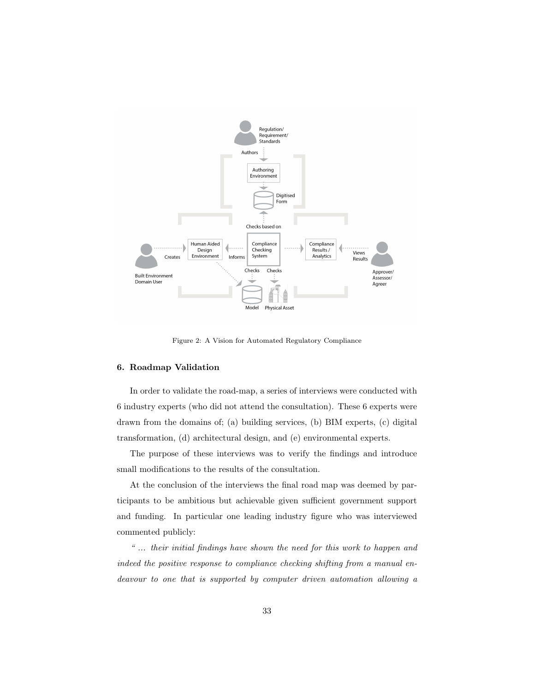

Figure 2: A Vision for Automated Regulatory Compliance

## 6. Roadmap Validation

In order to validate the road-map, a series of interviews were conducted with 6 industry experts (who did not attend the consultation). These 6 experts were drawn from the domains of; (a) building services, (b) BIM experts, (c) digital transformation, (d) architectural design, and (e) environmental experts.

The purpose of these interviews was to verify the findings and introduce small modifications to the results of the consultation.

At the conclusion of the interviews the final road map was deemed by participants to be ambitious but achievable given sufficient government support and funding. In particular one leading industry figure who was interviewed commented publicly:

*" ... their initial findings have shown the need for this work to happen and indeed the positive response to compliance checking shifting from a manual endeavour to one that is supported by computer driven automation allowing a*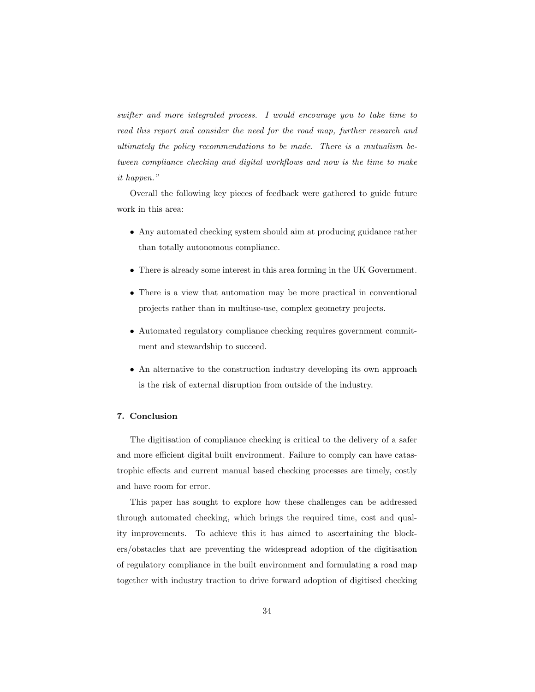*swifter and more integrated process. I would encourage you to take time to read this report and consider the need for the road map, further research and ultimately the policy recommendations to be made. There is a mutualism between compliance checking and digital workflows and now is the time to make it happen."*

Overall the following key pieces of feedback were gathered to guide future work in this area:

- Any automated checking system should aim at producing guidance rather than totally autonomous compliance.
- There is already some interest in this area forming in the UK Government.
- There is a view that automation may be more practical in conventional projects rather than in multiuse-use, complex geometry projects.
- Automated regulatory compliance checking requires government commitment and stewardship to succeed.
- An alternative to the construction industry developing its own approach is the risk of external disruption from outside of the industry.

## 7. Conclusion

The digitisation of compliance checking is critical to the delivery of a safer and more efficient digital built environment. Failure to comply can have catastrophic effects and current manual based checking processes are timely, costly and have room for error.

This paper has sought to explore how these challenges can be addressed through automated checking, which brings the required time, cost and quality improvements. To achieve this it has aimed to ascertaining the blockers/obstacles that are preventing the widespread adoption of the digitisation of regulatory compliance in the built environment and formulating a road map together with industry traction to drive forward adoption of digitised checking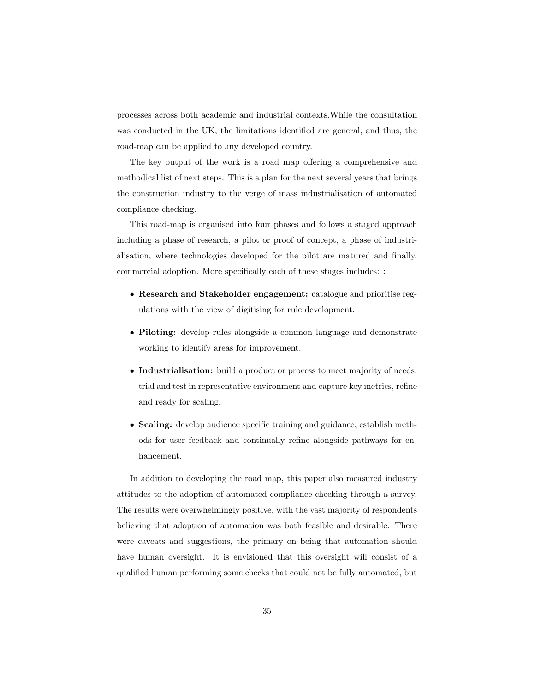processes across both academic and industrial contexts.While the consultation was conducted in the UK, the limitations identified are general, and thus, the road-map can be applied to any developed country.

The key output of the work is a road map offering a comprehensive and methodical list of next steps. This is a plan for the next several years that brings the construction industry to the verge of mass industrialisation of automated compliance checking.

This road-map is organised into four phases and follows a staged approach including a phase of research, a pilot or proof of concept, a phase of industrialisation, where technologies developed for the pilot are matured and finally, commercial adoption. More specifically each of these stages includes: :

- Research and Stakeholder engagement: catalogue and prioritise regulations with the view of digitising for rule development.
- Piloting: develop rules alongside a common language and demonstrate working to identify areas for improvement.
- Industrialisation: build a product or process to meet majority of needs, trial and test in representative environment and capture key metrics, refine and ready for scaling.
- Scaling: develop audience specific training and guidance, establish methods for user feedback and continually refine alongside pathways for enhancement.

In addition to developing the road map, this paper also measured industry attitudes to the adoption of automated compliance checking through a survey. The results were overwhelmingly positive, with the vast majority of respondents believing that adoption of automation was both feasible and desirable. There were caveats and suggestions, the primary on being that automation should have human oversight. It is envisioned that this oversight will consist of a qualified human performing some checks that could not be fully automated, but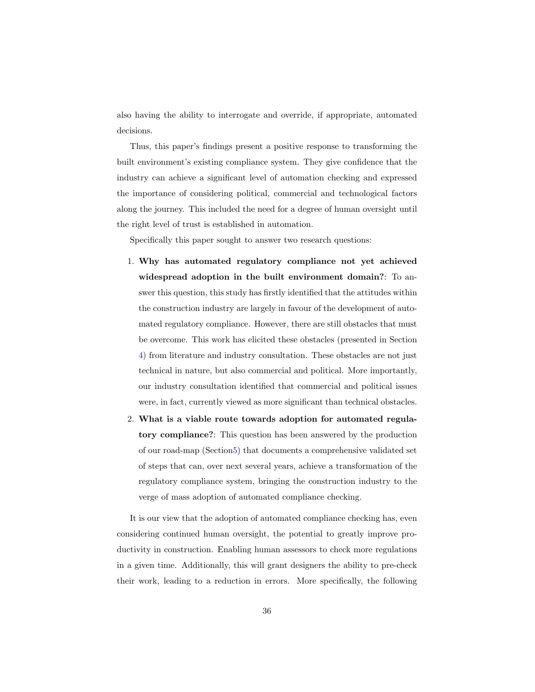also having the ability to interrogate and override, if appropriate, automated decisions.

Thus, this paper's findings present a positive response to transforming the built environment's existing compliance system. They give confidence that the industry can achieve a significant level of automation checking and expressed the importance of considering political, commercial and technological factors along the journey. This included the need for a degree of human oversight until the right level of trust is established in automation.

Specifically this paper sought to answer two research questions:

- 1. Why has automated regulatory compliance not yet achieved widespread adoption in the built environment domain?: To answer this question, this study has firstly identified that the attitudes within the construction industry are largely in favour of the development of automated regulatory compliance. However, there are still obstacles that must be overcome. This work has elicited these obstacles (presented in Section 4) from literature and industry consultation. These obstacles are not just technical in nature, but also commercial and political. More importantly, our industry consultation identified that commercial and political issues were, in fact, currently viewed as more significant than technical obstacles.
- 2. What is a viable route towards adoption for automated regulatory compliance?: This question has been answered by the production of our road-map (Section5) that documents a comprehensive validated set of steps that can, over next several years, achieve a transformation of the regulatory compliance system, bringing the construction industry to the verge of mass adoption of automated compliance checking.

It is our view that the adoption of automated compliance checking has, even considering continued human oversight, the potential to greatly improve productivity in construction. Enabling human assessors to check more regulations in a given time. Additionally, this will grant designers the ability to pre-check their work, leading to a reduction in errors. More specifically, the following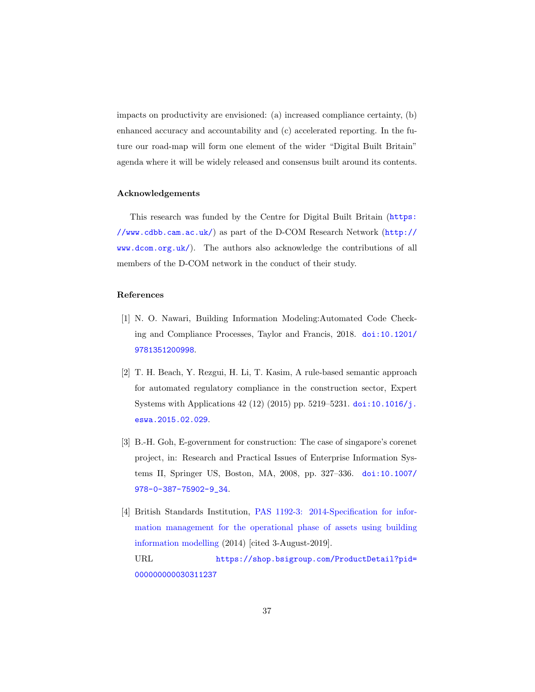impacts on productivity are envisioned: (a) increased compliance certainty, (b) enhanced accuracy and accountability and (c) accelerated reporting. In the future our road-map will form one element of the wider "Digital Built Britain" agenda where it will be widely released and consensus built around its contents.

#### Acknowledgements

This research was funded by the Centre for Digital Built Britain (https: //www.cdbb.cam.ac.uk/) as part of the D-COM Research Network (http:// www.dcom.org.uk/). The authors also acknowledge the contributions of all members of the D-COM network in the conduct of their study.

#### References

- [1] N. O. Nawari, Building Information Modeling:Automated Code Checking and Compliance Processes, Taylor and Francis, 2018. doi:10.1201/ 9781351200998.
- [2] T. H. Beach, Y. Rezgui, H. Li, T. Kasim, A rule-based semantic approach for automated regulatory compliance in the construction sector, Expert Systems with Applications 42 (12) (2015) pp. 5219–5231. doi:10.1016/j. eswa.2015.02.029.
- [3] B.-H. Goh, E-government for construction: The case of singapore's corenet project, in: Research and Practical Issues of Enterprise Information Systems II, Springer US, Boston, MA, 2008, pp. 327–336. doi:10.1007/ 978-0-387-75902-9\_34.
- [4] British Standards Institution, PAS 1192-3: 2014-Specification for information management for the operational phase of assets using building information modelling (2014) [cited 3-August-2019]. URL https://shop.bsigroup.com/ProductDetail?pid= 000000000030311237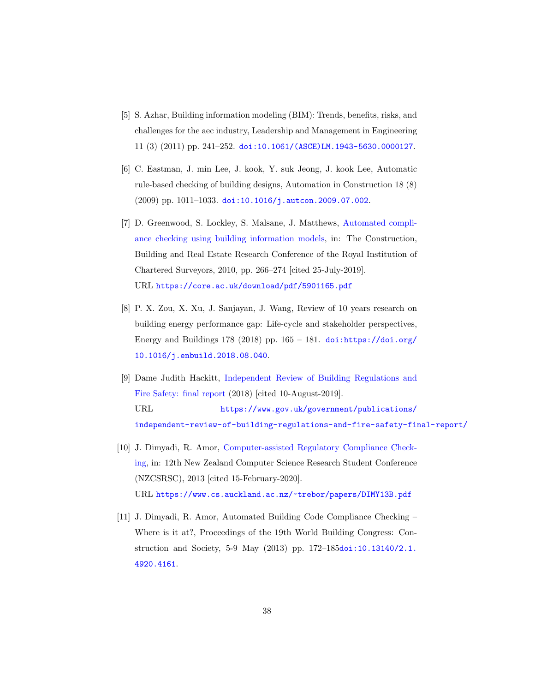- [5] S. Azhar, Building information modeling (BIM): Trends, benefits, risks, and challenges for the aec industry, Leadership and Management in Engineering 11 (3) (2011) pp. 241–252. doi:10.1061/(ASCE)LM.1943-5630.0000127.
- [6] C. Eastman, J. min Lee, J. kook, Y. suk Jeong, J. kook Lee, Automatic rule-based checking of building designs, Automation in Construction 18 (8) (2009) pp. 1011–1033. doi:10.1016/j.autcon.2009.07.002.
- [7] D. Greenwood, S. Lockley, S. Malsane, J. Matthews, Automated compliance checking using building information models, in: The Construction, Building and Real Estate Research Conference of the Royal Institution of Chartered Surveyors, 2010, pp. 266–274 [cited 25-July-2019]. URL https://core.ac.uk/download/pdf/5901165.pdf
- [8] P. X. Zou, X. Xu, J. Sanjayan, J. Wang, Review of 10 years research on building energy performance gap: Life-cycle and stakeholder perspectives, Energy and Buildings 178 (2018) pp.  $165 - 181$ . doi:https://doi.org/ 10.1016/j.enbuild.2018.08.040.
- [9] Dame Judith Hackitt, Independent Review of Building Regulations and Fire Safety: final report (2018) [cited 10-August-2019]. URL https://www.gov.uk/government/publications/ independent-review-of-building-regulations-and-fire-safety-final-report/
- [10] J. Dimyadi, R. Amor, Computer-assisted Regulatory Compliance Checking, in: 12th New Zealand Computer Science Research Student Conference (NZCSRSC), 2013 [cited 15-February-2020]. URL https://www.cs.auckland.ac.nz/~trebor/papers/DIMY13B.pdf
- [11] J. Dimyadi, R. Amor, Automated Building Code Compliance Checking Where is it at?, Proceedings of the 19th World Building Congress: Construction and Society, 5-9 May (2013) pp. 172–185doi:10.13140/2.1. 4920.4161.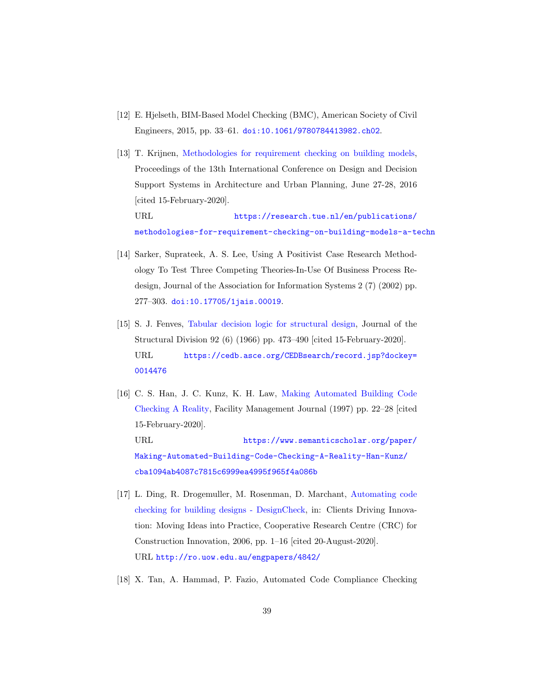- [12] E. Hjelseth, BIM-Based Model Checking (BMC), American Society of Civil Engineers, 2015, pp. 33–61. doi:10.1061/9780784413982.ch02.
- [13] T. Krijnen, Methodologies for requirement checking on building models, Proceedings of the 13th International Conference on Design and Decision Support Systems in Architecture and Urban Planning, June 27-28, 2016 [cited 15-February-2020]. URL https://research.tue.nl/en/publications/

methodologies-for-requirement-checking-on-building-models-a-techn

- [14] Sarker, Suprateek, A. S. Lee, Using A Positivist Case Research Methodology To Test Three Competing Theories-In-Use Of Business Process Redesign, Journal of the Association for Information Systems 2 (7) (2002) pp. 277–303. doi:10.17705/1jais.00019.
- [15] S. J. Fenves, Tabular decision logic for structural design, Journal of the Structural Division 92 (6) (1966) pp. 473–490 [cited 15-February-2020]. URL https://cedb.asce.org/CEDBsearch/record.jsp?dockey= 0014476
- [16] C. S. Han, J. C. Kunz, K. H. Law, Making Automated Building Code Checking A Reality, Facility Management Journal (1997) pp. 22–28 [cited 15-February-2020]. URL https://www.semanticscholar.org/paper/ Making-Automated-Building-Code-Checking-A-Reality-Han-Kunz/ cba1094ab4087c7815c6999ea4995f965f4a086b
- [17] L. Ding, R. Drogemuller, M. Rosenman, D. Marchant, Automating code checking for building designs - DesignCheck, in: Clients Driving Innovation: Moving Ideas into Practice, Cooperative Research Centre (CRC) for Construction Innovation, 2006, pp. 1–16 [cited 20-August-2020]. URL http://ro.uow.edu.au/engpapers/4842/
- [18] X. Tan, A. Hammad, P. Fazio, Automated Code Compliance Checking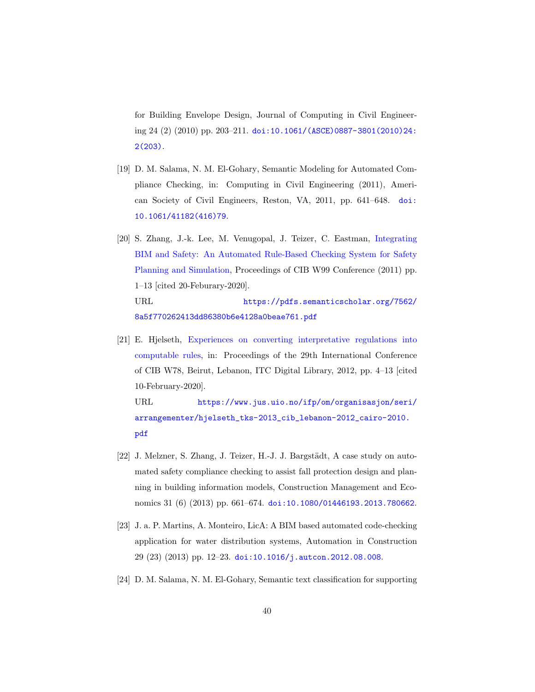for Building Envelope Design, Journal of Computing in Civil Engineering 24 (2) (2010) pp. 203–211. doi:10.1061/(ASCE)0887-3801(2010)24: 2(203).

- [19] D. M. Salama, N. M. El-Gohary, Semantic Modeling for Automated Compliance Checking, in: Computing in Civil Engineering (2011), American Society of Civil Engineers, Reston, VA, 2011, pp. 641–648. doi: 10.1061/41182(416)79.
- [20] S. Zhang, J.-k. Lee, M. Venugopal, J. Teizer, C. Eastman, Integrating BIM and Safety: An Automated Rule-Based Checking System for Safety Planning and Simulation, Proceedings of CIB W99 Conference (2011) pp. 1–13 [cited 20-Feburary-2020]. URL https://pdfs.semanticscholar.org/7562/

8a5f770262413dd86380b6e4128a0beae761.pdf

[21] E. Hjelseth, Experiences on converting interpretative regulations into computable rules, in: Proceedings of the 29th International Conference of CIB W78, Beirut, Lebanon, ITC Digital Library, 2012, pp. 4–13 [cited 10-February-2020].

URL https://www.jus.uio.no/ifp/om/organisasjon/seri/ arrangementer/hjelseth\_tks-2013\_cib\_lebanon-2012\_cairo-2010. pdf

- [22] J. Melzner, S. Zhang, J. Teizer, H.-J. J. Bargstädt, A case study on automated safety compliance checking to assist fall protection design and planning in building information models, Construction Management and Economics 31 (6) (2013) pp. 661–674. doi:10.1080/01446193.2013.780662.
- [23] J. a. P. Martins, A. Monteiro, LicA: A BIM based automated code-checking application for water distribution systems, Automation in Construction 29 (23) (2013) pp. 12–23. doi:10.1016/j.autcon.2012.08.008.
- [24] D. M. Salama, N. M. El-Gohary, Semantic text classification for supporting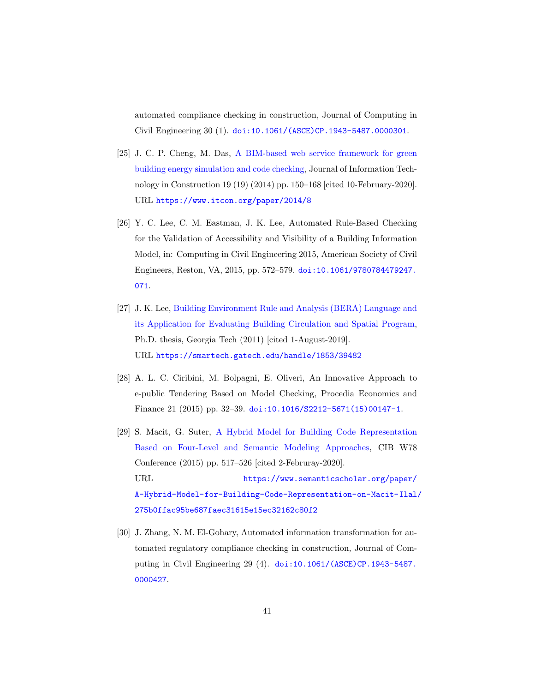automated compliance checking in construction, Journal of Computing in Civil Engineering 30 (1). doi:10.1061/(ASCE)CP.1943-5487.0000301.

- [25] J. C. P. Cheng, M. Das, A BIM-based web service framework for green building energy simulation and code checking, Journal of Information Technology in Construction 19 (19) (2014) pp. 150–168 [cited 10-February-2020]. URL https://www.itcon.org/paper/2014/8
- [26] Y. C. Lee, C. M. Eastman, J. K. Lee, Automated Rule-Based Checking for the Validation of Accessibility and Visibility of a Building Information Model, in: Computing in Civil Engineering 2015, American Society of Civil Engineers, Reston, VA, 2015, pp. 572–579. doi:10.1061/9780784479247. 071.
- [27] J. K. Lee, Building Environment Rule and Analysis (BERA) Language and its Application for Evaluating Building Circulation and Spatial Program, Ph.D. thesis, Georgia Tech (2011) [cited 1-August-2019]. URL https://smartech.gatech.edu/handle/1853/39482
- [28] A. L. C. Ciribini, M. Bolpagni, E. Oliveri, An Innovative Approach to e-public Tendering Based on Model Checking, Procedia Economics and Finance 21 (2015) pp. 32–39. doi:10.1016/S2212-5671(15)00147-1.
- [29] S. Macit, G. Suter, A Hybrid Model for Building Code Representation Based on Four-Level and Semantic Modeling Approaches, CIB W78 Conference (2015) pp. 517–526 [cited 2-Februray-2020]. URL https://www.semanticscholar.org/paper/ A-Hybrid-Model-for-Building-Code-Representation-on-Macit-Ilal/ 275b0ffac95be687faec31615e15ec32162c80f2
- [30] J. Zhang, N. M. El-Gohary, Automated information transformation for automated regulatory compliance checking in construction, Journal of Computing in Civil Engineering 29 (4). doi:10.1061/(ASCE)CP.1943-5487. 0000427.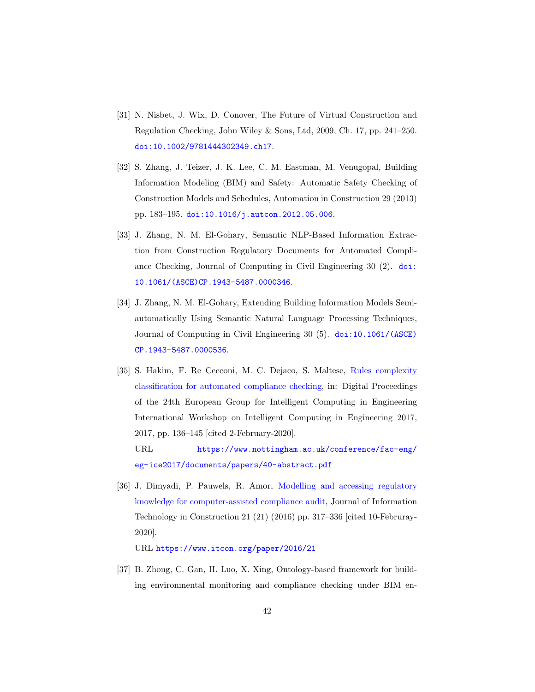- [31] N. Nisbet, J. Wix, D. Conover, The Future of Virtual Construction and Regulation Checking, John Wiley & Sons, Ltd, 2009, Ch. 17, pp. 241–250. doi:10.1002/9781444302349.ch17.
- [32] S. Zhang, J. Teizer, J. K. Lee, C. M. Eastman, M. Venugopal, Building Information Modeling (BIM) and Safety: Automatic Safety Checking of Construction Models and Schedules, Automation in Construction 29 (2013) pp. 183–195. doi:10.1016/j.autcon.2012.05.006.
- [33] J. Zhang, N. M. El-Gohary, Semantic NLP-Based Information Extraction from Construction Regulatory Documents for Automated Compliance Checking, Journal of Computing in Civil Engineering 30 (2). doi: 10.1061/(ASCE)CP.1943-5487.0000346.
- [34] J. Zhang, N. M. El-Gohary, Extending Building Information Models Semiautomatically Using Semantic Natural Language Processing Techniques, Journal of Computing in Civil Engineering 30 (5). doi:10.1061/(ASCE) CP.1943-5487.0000536.
- [35] S. Hakim, F. Re Cecconi, M. C. Dejaco, S. Maltese, Rules complexity classification for automated compliance checking, in: Digital Proceedings of the 24th European Group for Intelligent Computing in Engineering International Workshop on Intelligent Computing in Engineering 2017, 2017, pp. 136–145 [cited 2-February-2020].
	- URL https://www.nottingham.ac.uk/conference/fac-eng/ eg-ice2017/documents/papers/40-abstract.pdf
- [36] J. Dimyadi, P. Pauwels, R. Amor, Modelling and accessing regulatory knowledge for computer-assisted compliance audit, Journal of Information Technology in Construction 21 (21) (2016) pp. 317–336 [cited 10-Februray-2020].

URL https://www.itcon.org/paper/2016/21

[37] B. Zhong, C. Gan, H. Luo, X. Xing, Ontology-based framework for building environmental monitoring and compliance checking under BIM en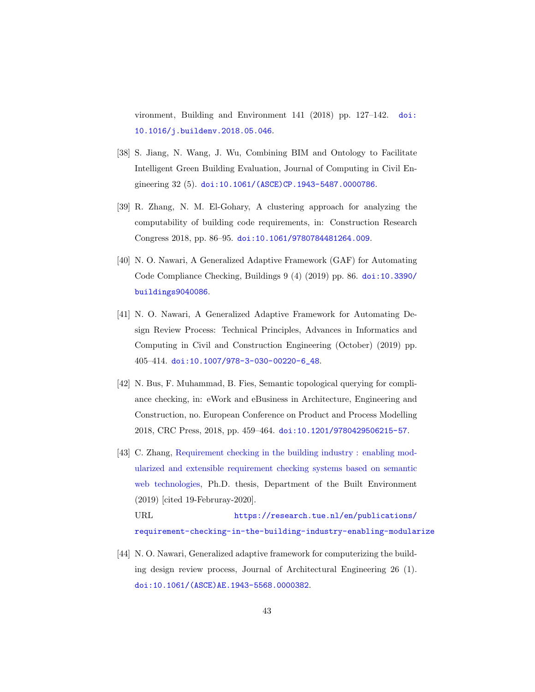vironment, Building and Environment 141 (2018) pp. 127–142. doi: 10.1016/j.buildenv.2018.05.046.

- [38] S. Jiang, N. Wang, J. Wu, Combining BIM and Ontology to Facilitate Intelligent Green Building Evaluation, Journal of Computing in Civil Engineering 32 (5). doi:10.1061/(ASCE)CP.1943-5487.0000786.
- [39] R. Zhang, N. M. El-Gohary, A clustering approach for analyzing the computability of building code requirements, in: Construction Research Congress 2018, pp. 86–95. doi:10.1061/9780784481264.009.
- [40] N. O. Nawari, A Generalized Adaptive Framework (GAF) for Automating Code Compliance Checking, Buildings 9 (4) (2019) pp. 86. doi:10.3390/ buildings9040086.
- [41] N. O. Nawari, A Generalized Adaptive Framework for Automating Design Review Process: Technical Principles, Advances in Informatics and Computing in Civil and Construction Engineering (October) (2019) pp. 405–414. doi:10.1007/978-3-030-00220-6\_48.
- [42] N. Bus, F. Muhammad, B. Fies, Semantic topological querying for compliance checking, in: eWork and eBusiness in Architecture, Engineering and Construction, no. European Conference on Product and Process Modelling 2018, CRC Press, 2018, pp. 459–464. doi:10.1201/9780429506215-57.
- [43] C. Zhang, Requirement checking in the building industry : enabling modularized and extensible requirement checking systems based on semantic web technologies, Ph.D. thesis, Department of the Built Environment (2019) [cited 19-Februray-2020]. URL https://research.tue.nl/en/publications/

requirement-checking-in-the-building-industry-enabling-modularize

[44] N. O. Nawari, Generalized adaptive framework for computerizing the building design review process, Journal of Architectural Engineering 26 (1). doi:10.1061/(ASCE)AE.1943-5568.0000382.